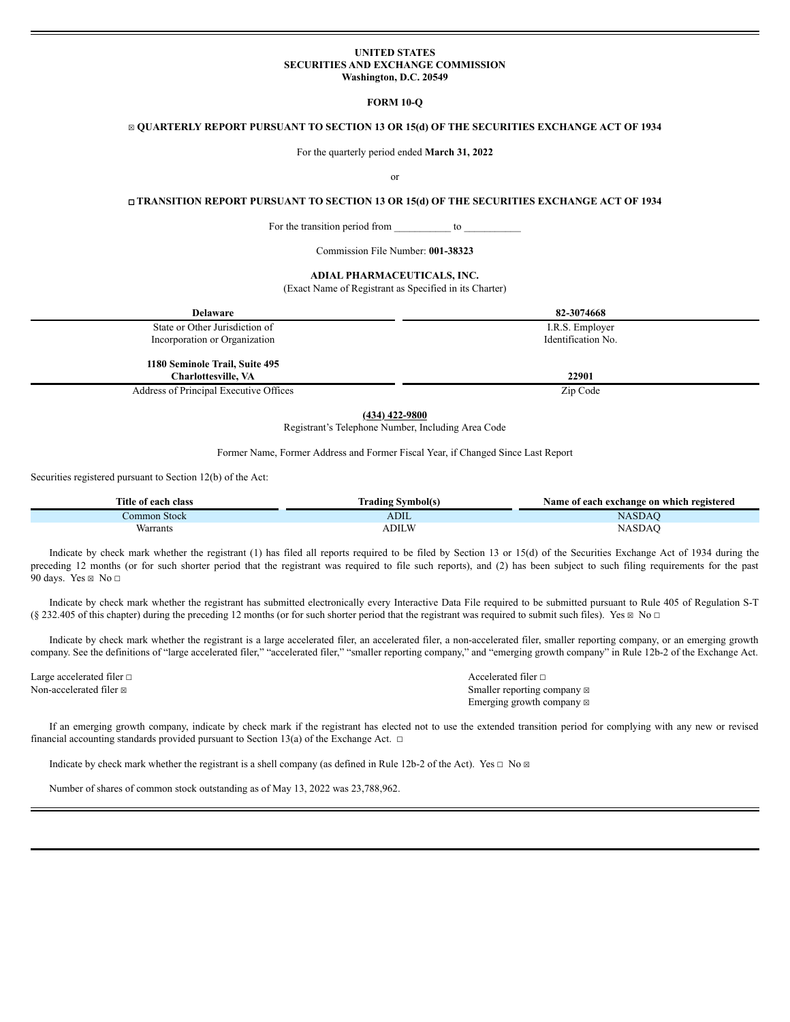## **UNITED STATES SECURITIES AND EXCHANGE COMMISSION Washington, D.C. 20549**

#### **FORM 10-Q**

## ☒ **QUARTERLY REPORT PURSUANT TO SECTION 13 OR 15(d) OF THE SECURITIES EXCHANGE ACT OF 1934**

For the quarterly period ended **March 31, 2022**

or

## ☐ **TRANSITION REPORT PURSUANT TO SECTION 13 OR 15(d) OF THE SECURITIES EXCHANGE ACT OF 1934**

For the transition period from  $\_\_\_\_\_\_\_\_\$  to  $\_\_\_\_\$ 

Commission File Number: **001-38323**

### **ADIAL PHARMACEUTICALS, INC.**

(Exact Name of Registrant as Specified in its Charter)

| <b>Delaware</b>                        | 82-3074668         |
|----------------------------------------|--------------------|
| State or Other Jurisdiction of         | I.R.S. Employer    |
| Incorporation or Organization          | Identification No. |
|                                        |                    |
| 1180 Seminole Trail, Suite 495         |                    |
| <b>Charlottesville, VA</b>             | 22901              |
| Address of Principal Executive Offices | Zip Code           |

**(434) 422-9800**

Registrant's Telephone Number, Including Area Code

Former Name, Former Address and Former Fiscal Year, if Changed Since Last Report

Securities registered pursuant to Section 12(b) of the Act:

| Title of each class | Trading Symbol(s) | Name of each exchange on which registered |
|---------------------|-------------------|-------------------------------------------|
| <b>Common Stock</b> | <b>ADIL</b>       | <b>NASDAC</b>                             |
| Warrants            | ADILW             | <b>NASDA</b>                              |

Indicate by check mark whether the registrant (1) has filed all reports required to be filed by Section 13 or 15(d) of the Securities Exchange Act of 1934 during the preceding 12 months (or for such shorter period that the registrant was required to file such reports), and (2) has been subject to such filing requirements for the past 90 days. Yes  $\boxtimes$  No  $\Box$ 

Indicate by check mark whether the registrant has submitted electronically every Interactive Data File required to be submitted pursuant to Rule 405 of Regulation S-T (§ 232.405 of this chapter) during the preceding 12 months (or for such shorter period that the registrant was required to submit such files). Yes  $\boxtimes$  No  $\Box$ 

Indicate by check mark whether the registrant is a large accelerated filer, an accelerated filer, a non-accelerated filer, smaller reporting company, or an emerging growth company. See the definitions of "large accelerated filer," "accelerated filer," "smaller reporting company," and "emerging growth company" in Rule 12b-2 of the Exchange Act.

Large accelerated filer □<br>
Non-accelerated filer □<br>
Smaller reporting c

Smaller reporting company  $\boxtimes$ Emerging growth company  $\boxtimes$ 

If an emerging growth company, indicate by check mark if the registrant has elected not to use the extended transition period for complying with any new or revised financial accounting standards provided pursuant to Section 13(a) of the Exchange Act.  $\Box$ 

Indicate by check mark whether the registrant is a shell company (as defined in Rule 12b-2 of the Act). Yes  $\Box$  No  $\Box$ 

Number of shares of common stock outstanding as of May 13, 2022 was 23,788,962.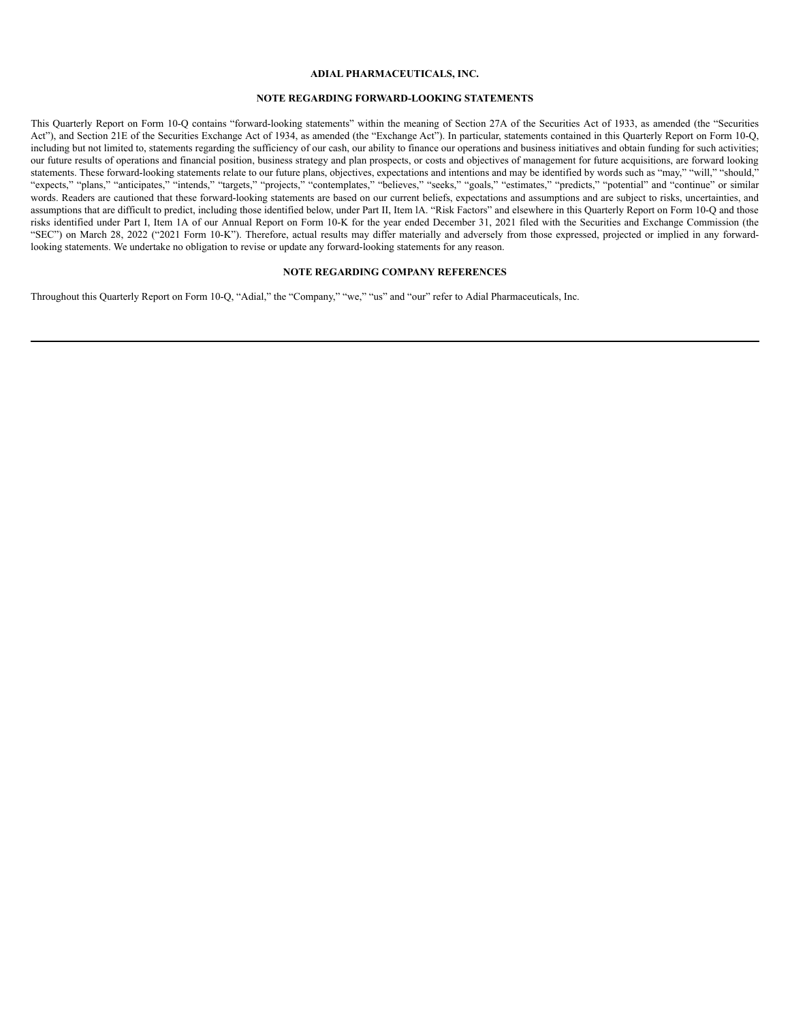### **ADIAL PHARMACEUTICALS, INC.**

#### **NOTE REGARDING FORWARD-LOOKING STATEMENTS**

This Quarterly Report on Form 10-Q contains "forward-looking statements" within the meaning of Section 27A of the Securities Act of 1933, as amended (the "Securities Act"), and Section 21E of the Securities Exchange Act of 1934, as amended (the "Exchange Act"). In particular, statements contained in this Quarterly Report on Form 10-Q, including but not limited to, statements regarding the sufficiency of our cash, our ability to finance our operations and business initiatives and obtain funding for such activities; our future results of operations and financial position, business strategy and plan prospects, or costs and objectives of management for future acquisitions, are forward looking statements. These forward-looking statements relate to our future plans, objectives, expectations and intentions and may be identified by words such as "may," "will," "should," "expects," "plans," "anticipates," "intends," "targets," "projects," "contemplates," "believes," "seeks," "goals," "estimates," "predicts," "potential" and "continue" or similar words. Readers are cautioned that these forward-looking statements are based on our current beliefs, expectations and assumptions and are subject to risks, uncertainties, and assumptions that are difficult to predict, including those identified below, under Part II, Item lA. "Risk Factors" and elsewhere in this Quarterly Report on Form 10-Q and those risks identified under Part I, Item 1A of our Annual Report on Form 10-K for the year ended December 31, 2021 filed with the Securities and Exchange Commission (the "SEC") on March 28, 2022 ("2021 Form 10-K"). Therefore, actual results may differ materially and adversely from those expressed, projected or implied in any forwardlooking statements. We undertake no obligation to revise or update any forward-looking statements for any reason.

#### **NOTE REGARDING COMPANY REFERENCES**

Throughout this Quarterly Report on Form 10-Q, "Adial," the "Company," "we," "us" and "our" refer to Adial Pharmaceuticals, Inc.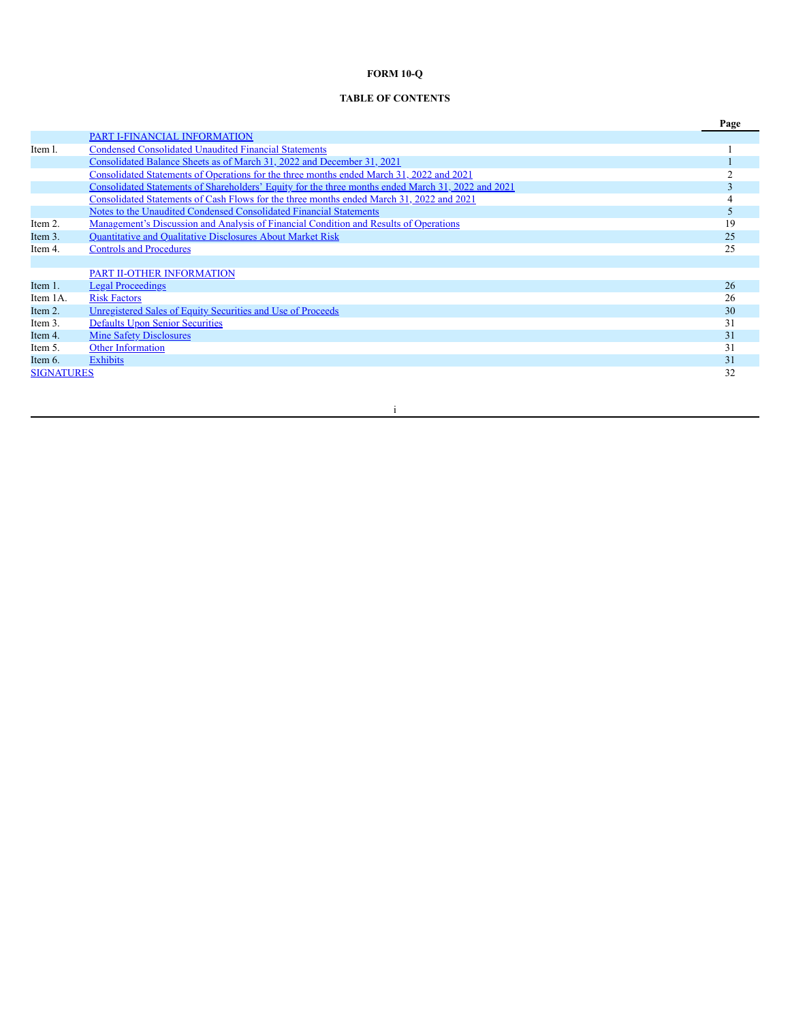# **FORM 10-Q**

# **TABLE OF CONTENTS**

|                   |                                                                                                    | Page |
|-------------------|----------------------------------------------------------------------------------------------------|------|
|                   | PART I-FINANCIAL INFORMATION                                                                       |      |
| Item 1.           | <b>Condensed Consolidated Unaudited Financial Statements</b>                                       |      |
|                   | Consolidated Balance Sheets as of March 31, 2022 and December 31, 2021                             |      |
|                   | Consolidated Statements of Operations for the three months ended March 31, 2022 and 2021           |      |
|                   | Consolidated Statements of Shareholders' Equity for the three months ended March 31, 2022 and 2021 |      |
|                   | Consolidated Statements of Cash Flows for the three months ended March 31, 2022 and 2021           |      |
|                   | Notes to the Unaudited Condensed Consolidated Financial Statements                                 |      |
| Item 2.           | <u>Management's Discussion and Analysis of Financial Condition and Results of Operations</u>       | 19   |
| Item 3.           | <b>Quantitative and Qualitative Disclosures About Market Risk</b>                                  | 25   |
| Item 4.           | <b>Controls and Procedures</b>                                                                     | 25   |
|                   |                                                                                                    |      |
|                   | <b>PART II-OTHER INFORMATION</b>                                                                   |      |
| Item 1.           | <b>Legal Proceedings</b>                                                                           | 26   |
| Item 1A.          | <b>Risk Factors</b>                                                                                | 26   |
| Item 2.           | Unregistered Sales of Equity Securities and Use of Proceeds                                        | 30   |
| Item 3.           | <b>Defaults Upon Senior Securities</b>                                                             | 31   |
| Item 4.           | <b>Mine Safety Disclosures</b>                                                                     | 31   |
| Item 5.           | Other Information                                                                                  | 31   |
| Item 6.           | <b>Exhibits</b>                                                                                    | 31   |
| <b>SIGNATURES</b> |                                                                                                    | 32   |
|                   |                                                                                                    |      |

i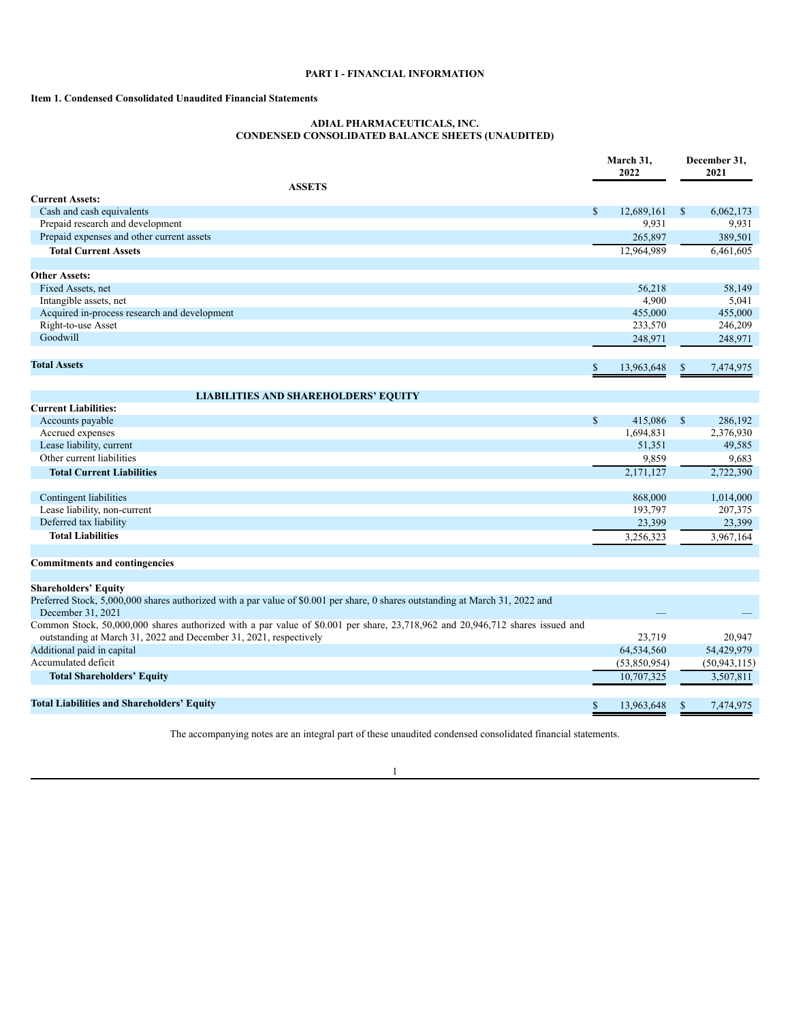# **PART I - FINANCIAL INFORMATION**

## <span id="page-3-2"></span><span id="page-3-1"></span><span id="page-3-0"></span>**Item 1. Condensed Consolidated Unaudited Financial Statements**

#### **ADIAL PHARMACEUTICALS, INC. CONDENSED CONSOLIDATED BALANCE SHEETS (UNAUDITED)**

|                                                                                                                                                     |              | March 31,<br>2022 |               | December 31,<br>2021 |  |
|-----------------------------------------------------------------------------------------------------------------------------------------------------|--------------|-------------------|---------------|----------------------|--|
| <b>ASSETS</b>                                                                                                                                       |              |                   |               |                      |  |
| <b>Current Assets:</b>                                                                                                                              |              |                   |               |                      |  |
| Cash and cash equivalents                                                                                                                           | \$           | 12,689,161        | $\mathbb{S}$  | 6,062,173            |  |
| Prepaid research and development                                                                                                                    |              | 9.931             |               | 9,931                |  |
| Prepaid expenses and other current assets                                                                                                           |              | 265,897           |               | 389,501              |  |
| <b>Total Current Assets</b>                                                                                                                         |              | 12,964,989        |               | 6,461,605            |  |
| <b>Other Assets:</b>                                                                                                                                |              |                   |               |                      |  |
| Fixed Assets, net                                                                                                                                   |              | 56.218            |               | 58.149               |  |
| Intangible assets, net                                                                                                                              |              | 4,900             |               | 5,041                |  |
| Acquired in-process research and development                                                                                                        |              | 455,000           |               | 455,000              |  |
| Right-to-use Asset                                                                                                                                  |              | 233,570           |               | 246,209              |  |
| Goodwill                                                                                                                                            |              | 248,971           |               | 248,971              |  |
| <b>Total Assets</b>                                                                                                                                 | \$           | 13,963,648        | \$            | 7,474,975            |  |
|                                                                                                                                                     |              |                   |               |                      |  |
| <b>LIABILITIES AND SHAREHOLDERS' EQUITY</b>                                                                                                         |              |                   |               |                      |  |
| <b>Current Liabilities:</b>                                                                                                                         |              |                   |               |                      |  |
| Accounts payable                                                                                                                                    | $\mathbb{S}$ | 415,086           | $\mathcal{S}$ | 286,192              |  |
| Accrued expenses                                                                                                                                    |              | 1,694,831         |               | 2,376,930            |  |
| Lease liability, current                                                                                                                            |              | 51,351            |               | 49,585               |  |
| Other current liabilities                                                                                                                           |              | 9,859             |               | 9,683                |  |
| <b>Total Current Liabilities</b>                                                                                                                    |              | 2,171,127         |               | 2,722,390            |  |
|                                                                                                                                                     |              | 868,000           |               |                      |  |
| Contingent liabilities<br>Lease liability, non-current                                                                                              |              | 193,797           |               | 1,014,000<br>207,375 |  |
| Deferred tax liability                                                                                                                              |              |                   |               |                      |  |
|                                                                                                                                                     |              | 23,399            |               | 23,399               |  |
| <b>Total Liabilities</b>                                                                                                                            |              | 3,256,323         |               | 3,967,164            |  |
| <b>Commitments and contingencies</b>                                                                                                                |              |                   |               |                      |  |
|                                                                                                                                                     |              |                   |               |                      |  |
| <b>Shareholders' Equity</b>                                                                                                                         |              |                   |               |                      |  |
| Preferred Stock, 5,000,000 shares authorized with a par value of \$0.001 per share, 0 shares outstanding at March 31, 2022 and<br>December 31, 2021 |              |                   |               |                      |  |
| Common Stock, 50,000,000 shares authorized with a par value of \$0.001 per share, 23,718,962 and 20,946,712 shares issued and                       |              |                   |               |                      |  |
| outstanding at March 31, 2022 and December 31, 2021, respectively                                                                                   |              | 23,719            |               | 20,947               |  |
| Additional paid in capital<br>Accumulated deficit                                                                                                   |              | 64,534,560        |               | 54,429,979           |  |
|                                                                                                                                                     |              | (53,850,954)      |               | (50, 943, 115)       |  |
| <b>Total Shareholders' Equity</b>                                                                                                                   |              | 10,707,325        |               | 3,507,811            |  |
| <b>Total Liabilities and Shareholders' Equity</b>                                                                                                   | \$           | 13,963,648        | \$            | 7,474,975            |  |
|                                                                                                                                                     |              |                   |               |                      |  |

The accompanying notes are an integral part of these unaudited condensed consolidated financial statements.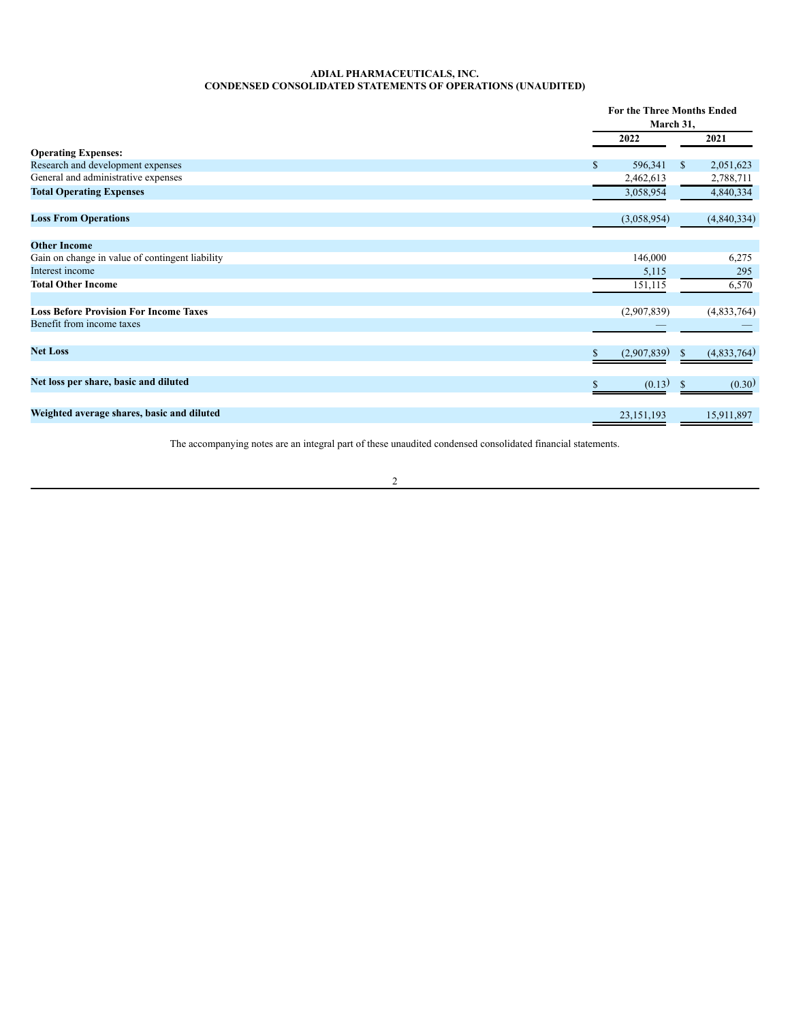## **ADIAL PHARMACEUTICALS, INC. CONDENSED CONSOLIDATED STATEMENTS OF OPERATIONS (UNAUDITED)**

<span id="page-4-0"></span>

|                                                 |                         | For the Three Months Ended   |  |  |  |  |  |
|-------------------------------------------------|-------------------------|------------------------------|--|--|--|--|--|
|                                                 |                         | March 31,                    |  |  |  |  |  |
|                                                 | 2022                    | 2021                         |  |  |  |  |  |
| <b>Operating Expenses:</b>                      |                         |                              |  |  |  |  |  |
| Research and development expenses               | $\mathbb{S}$<br>596,341 | 2,051,623<br><sup>\$</sup>   |  |  |  |  |  |
| General and administrative expenses             | 2,462,613               | 2,788,711                    |  |  |  |  |  |
| <b>Total Operating Expenses</b>                 | 3,058,954               | 4,840,334                    |  |  |  |  |  |
| <b>Loss From Operations</b>                     | (3,058,954)             | (4,840,334)                  |  |  |  |  |  |
| <b>Other Income</b>                             |                         |                              |  |  |  |  |  |
| Gain on change in value of contingent liability | 146,000                 | 6,275                        |  |  |  |  |  |
| Interest income                                 | 5,115                   | 295                          |  |  |  |  |  |
| <b>Total Other Income</b>                       | 151,115                 | 6,570                        |  |  |  |  |  |
| <b>Loss Before Provision For Income Taxes</b>   | (2,907,839)             | (4,833,764)                  |  |  |  |  |  |
| Benefit from income taxes                       |                         |                              |  |  |  |  |  |
| <b>Net Loss</b>                                 | (2,907,839)             | (4,833,764)<br><sup>\$</sup> |  |  |  |  |  |
| Net loss per share, basic and diluted           | (0.13)                  | (0.30)<br><sup>S</sup>       |  |  |  |  |  |
|                                                 |                         |                              |  |  |  |  |  |
| Weighted average shares, basic and diluted      | 23, 151, 193            | 15,911,897                   |  |  |  |  |  |

The accompanying notes are an integral part of these unaudited condensed consolidated financial statements.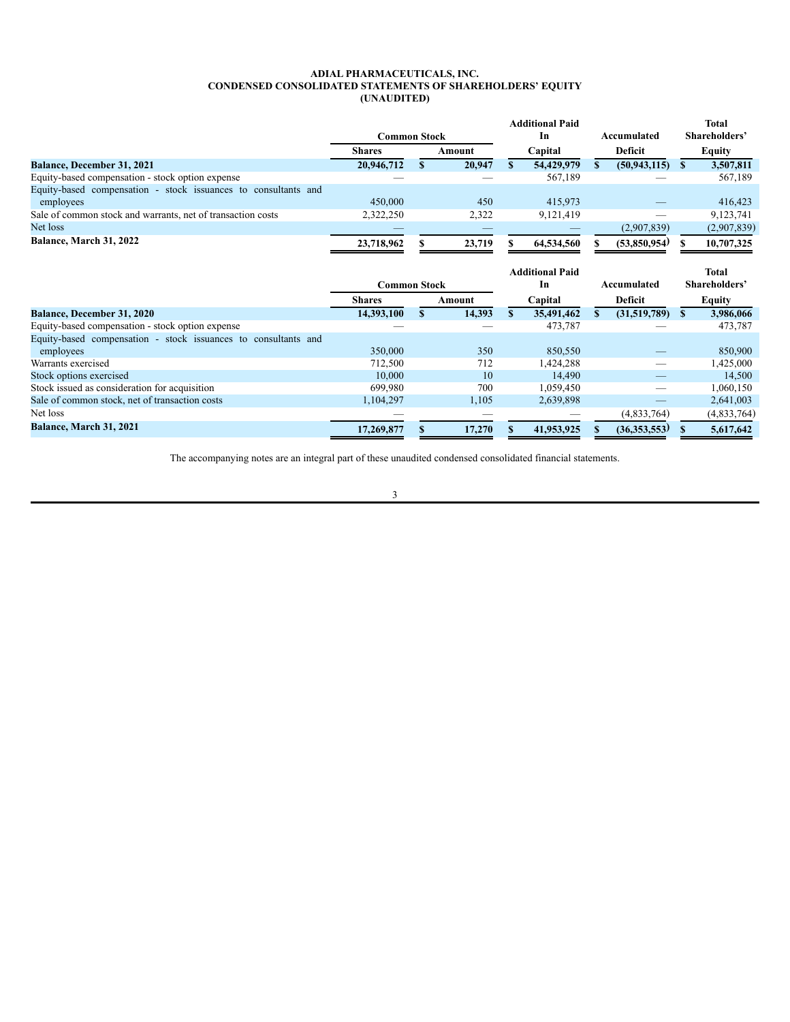### **ADIAL PHARMACEUTICALS, INC. CONDENSED CONSOLIDATED STATEMENTS OF SHAREHOLDERS' EQUITY (UNAUDITED)**

<span id="page-5-0"></span>

|                                                                | <b>Common Stock</b> |        |        |                           | <b>Additional Paid</b><br>In |  | Accumulated    | Total<br>Shareholders'        |  |  |  |  |  |  |  |  |  |        |
|----------------------------------------------------------------|---------------------|--------|--------|---------------------------|------------------------------|--|----------------|-------------------------------|--|--|--|--|--|--|--|--|--|--------|
|                                                                | <b>Shares</b>       | Amount |        | Capital<br><b>Deficit</b> |                              |  |                |                               |  |  |  |  |  |  |  |  |  | Equity |
| <b>Balance, December 31, 2021</b>                              | 20,946,712          |        | 20.947 | \$                        | 54,429,979                   |  | (50, 943, 115) | 3,507,811                     |  |  |  |  |  |  |  |  |  |        |
| Equity-based compensation - stock option expense               |                     |        |        |                           | 567,189                      |  |                | 567,189                       |  |  |  |  |  |  |  |  |  |        |
| Equity-based compensation - stock issuances to consultants and |                     |        |        |                           |                              |  |                |                               |  |  |  |  |  |  |  |  |  |        |
| employees                                                      | 450,000             |        | 450    |                           | 415.973                      |  |                | 416,423                       |  |  |  |  |  |  |  |  |  |        |
| Sale of common stock and warrants, net of transaction costs    | 2,322,250           |        | 2,322  |                           | 9,121,419                    |  |                | 9,123,741                     |  |  |  |  |  |  |  |  |  |        |
| Net loss                                                       |                     |        |        |                           |                              |  | (2,907,839)    | (2,907,839)                   |  |  |  |  |  |  |  |  |  |        |
| Balance, March 31, 2022                                        | 23,718,962          |        | 23,719 |                           | 64,534,560                   |  | (53.850.954)   | 10,707,325                    |  |  |  |  |  |  |  |  |  |        |
|                                                                | <b>Common Stock</b> |        |        |                           | <b>Additional Paid</b><br>In |  | Accumulated    | <b>Total</b><br>Shareholders' |  |  |  |  |  |  |  |  |  |        |
|                                                                | <b>Shares</b>       |        | Amount |                           | Capital                      |  | Deficit        | <b>Equity</b>                 |  |  |  |  |  |  |  |  |  |        |

| 14,393,100 | æ | 14,393 | 35,491,462 | (31,519,789) | 3,986,066   |
|------------|---|--------|------------|--------------|-------------|
|            |   |        | 473,787    |              | 473,787     |
|            |   |        |            |              |             |
| 350,000    |   | 350    | 850,550    |              | 850,900     |
| 712.500    |   | 712    | .424.288   |              | 1,425,000   |
| 10,000     |   | 10     | 14.490     |              | 14.500      |
| 699.980    |   | 700    | 1,059,450  |              | 1,060,150   |
| 1,104,297  |   | 1.105  | 2,639,898  |              | 2,641,003   |
|            |   |        |            | (4,833,764)  | (4,833,764) |
| 17.269.877 |   | 17,270 | 41,953,925 | (36,353,553) | 5,617,642   |
|            |   |        |            |              |             |

The accompanying notes are an integral part of these unaudited condensed consolidated financial statements.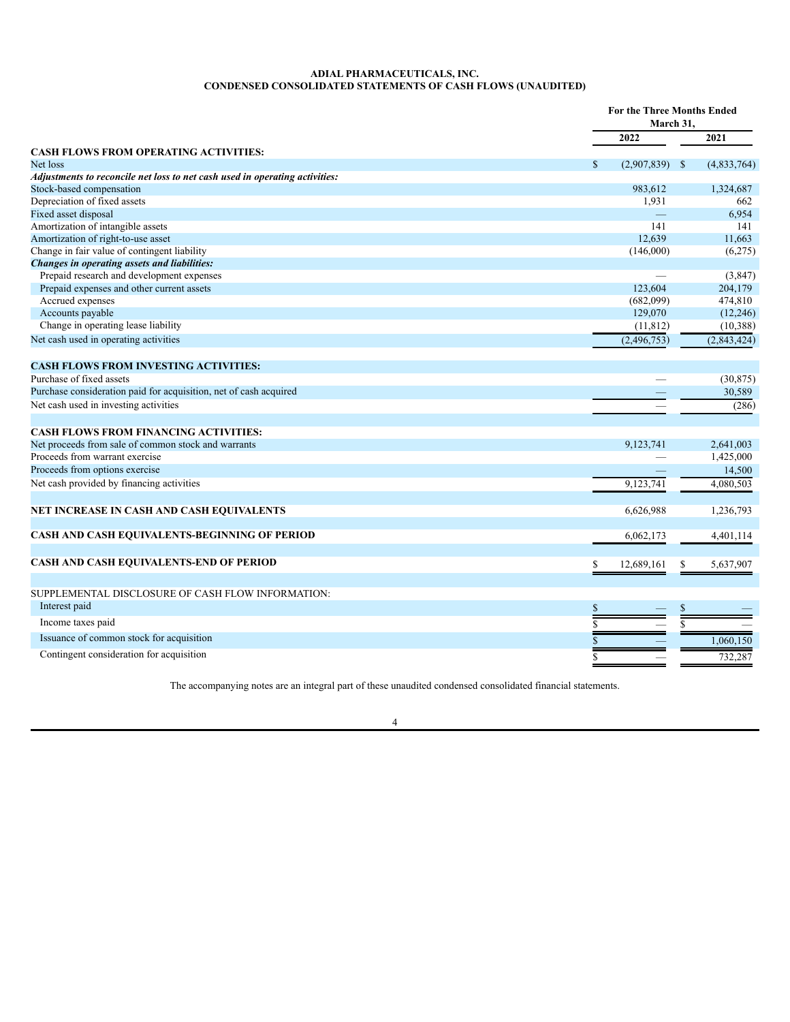## **ADIAL PHARMACEUTICALS, INC. CONDENSED CONSOLIDATED STATEMENTS OF CASH FLOWS (UNAUDITED)**

<span id="page-6-0"></span>

|                                                                             |                             | For the Three Months Ended<br>March 31, |             |  |
|-----------------------------------------------------------------------------|-----------------------------|-----------------------------------------|-------------|--|
|                                                                             | 2022                        |                                         | 2021        |  |
| <b>CASH FLOWS FROM OPERATING ACTIVITIES:</b>                                |                             |                                         |             |  |
| Net loss                                                                    | $\mathbb{S}$<br>(2,907,839) | <sup>\$</sup>                           | (4,833,764) |  |
| Adjustments to reconcile net loss to net cash used in operating activities: |                             |                                         |             |  |
| Stock-based compensation                                                    | 983,612                     |                                         | 1,324,687   |  |
| Depreciation of fixed assets                                                | 1,931                       |                                         | 662         |  |
| Fixed asset disposal                                                        |                             |                                         | 6,954       |  |
| Amortization of intangible assets                                           | 141                         |                                         | 141         |  |
| Amortization of right-to-use asset                                          | 12.639                      |                                         | 11,663      |  |
| Change in fair value of contingent liability                                | (146,000)                   |                                         | (6,275)     |  |
| Changes in operating assets and liabilities:                                |                             |                                         |             |  |
| Prepaid research and development expenses                                   |                             |                                         | (3, 847)    |  |
| Prepaid expenses and other current assets                                   | 123,604                     |                                         | 204,179     |  |
| Accrued expenses                                                            | (682,099)                   |                                         | 474,810     |  |
| Accounts payable                                                            | 129,070                     |                                         | (12, 246)   |  |
| Change in operating lease liability                                         | (11, 812)                   |                                         | (10, 388)   |  |
| Net cash used in operating activities                                       | (2,496,753)                 |                                         | (2,843,424) |  |
| <b>CASH FLOWS FROM INVESTING ACTIVITIES:</b>                                |                             |                                         |             |  |
| Purchase of fixed assets                                                    |                             |                                         | (30, 875)   |  |
| Purchase consideration paid for acquisition, net of cash acquired           |                             |                                         | 30,589      |  |
| Net cash used in investing activities                                       |                             |                                         | (286)       |  |
| <b>CASH FLOWS FROM FINANCING ACTIVITIES:</b>                                |                             |                                         |             |  |
| Net proceeds from sale of common stock and warrants                         | 9,123,741                   |                                         | 2,641,003   |  |
| Proceeds from warrant exercise                                              |                             |                                         | 1,425,000   |  |
| Proceeds from options exercise                                              |                             |                                         | 14,500      |  |
| Net cash provided by financing activities                                   | 9,123,741                   |                                         | 4,080,503   |  |
| NET INCREASE IN CASH AND CASH EQUIVALENTS                                   | 6,626,988                   |                                         | 1,236,793   |  |
|                                                                             |                             |                                         |             |  |
| CASH AND CASH EQUIVALENTS-BEGINNING OF PERIOD                               | 6,062,173                   |                                         | 4,401,114   |  |
| <b>CASH AND CASH EQUIVALENTS-END OF PERIOD</b>                              | \$<br>12,689,161            | \$                                      | 5,637,907   |  |
| SUPPLEMENTAL DISCLOSURE OF CASH FLOW INFORMATION:                           |                             |                                         |             |  |
| Interest paid                                                               | \$                          | \$                                      |             |  |
| Income taxes paid                                                           | \$                          |                                         |             |  |
| Issuance of common stock for acquisition                                    | \$                          |                                         | 1.060.150   |  |
| Contingent consideration for acquisition                                    | \$                          |                                         | 732,287     |  |

The accompanying notes are an integral part of these unaudited condensed consolidated financial statements.

4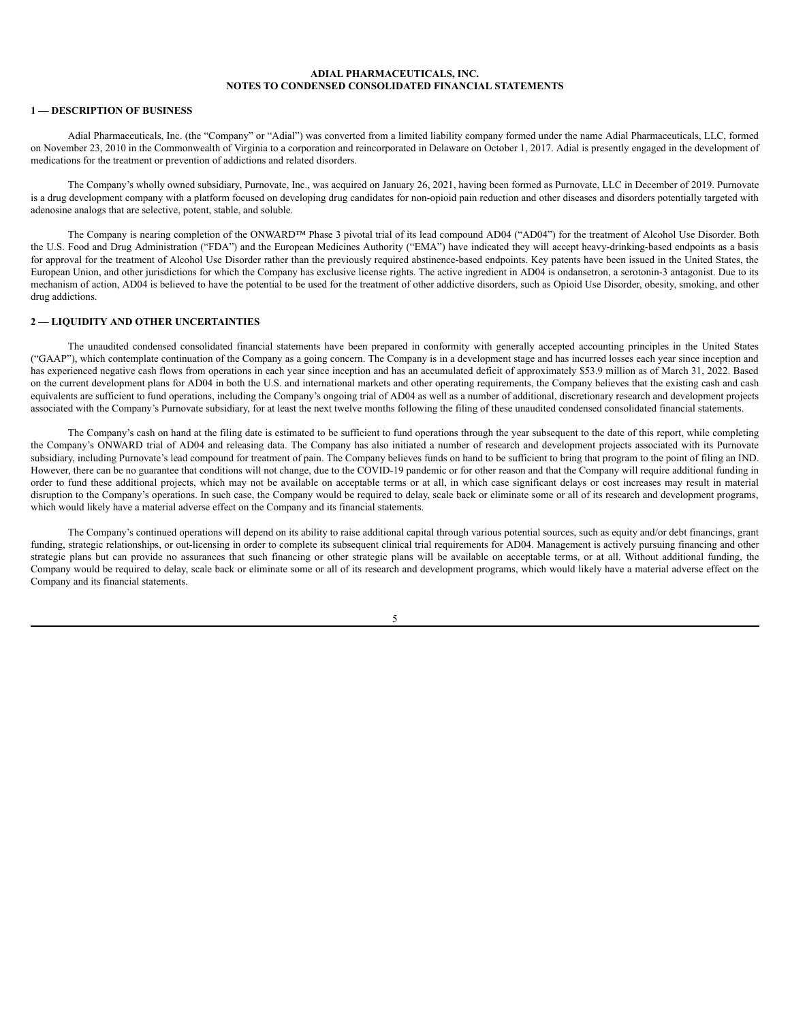### **ADIAL PHARMACEUTICALS, INC. NOTES TO CONDENSED CONSOLIDATED FINANCIAL STATEMENTS**

## <span id="page-7-0"></span>**1 — DESCRIPTION OF BUSINESS**

Adial Pharmaceuticals, Inc. (the "Company" or "Adial") was converted from a limited liability company formed under the name Adial Pharmaceuticals, LLC, formed on November 23, 2010 in the Commonwealth of Virginia to a corporation and reincorporated in Delaware on October 1, 2017. Adial is presently engaged in the development of medications for the treatment or prevention of addictions and related disorders.

The Company's wholly owned subsidiary, Purnovate, Inc., was acquired on January 26, 2021, having been formed as Purnovate, LLC in December of 2019. Purnovate is a drug development company with a platform focused on developing drug candidates for non-opioid pain reduction and other diseases and disorders potentially targeted with adenosine analogs that are selective, potent, stable, and soluble.

The Company is nearing completion of the ONWARD™ Phase 3 pivotal trial of its lead compound AD04 ("AD04") for the treatment of Alcohol Use Disorder. Both the U.S. Food and Drug Administration ("FDA") and the European Medicines Authority ("EMA") have indicated they will accept heavy-drinking-based endpoints as a basis for approval for the treatment of Alcohol Use Disorder rather than the previously required abstinence-based endpoints. Key patents have been issued in the United States, the European Union, and other jurisdictions for which the Company has exclusive license rights. The active ingredient in AD04 is ondansetron, a serotonin-3 antagonist. Due to its mechanism of action, AD04 is believed to have the potential to be used for the treatment of other addictive disorders, such as Opioid Use Disorder, obesity, smoking, and other drug addictions.

## **2 — LIQUIDITY AND OTHER UNCERTAINTIES**

The unaudited condensed consolidated financial statements have been prepared in conformity with generally accepted accounting principles in the United States ("GAAP"), which contemplate continuation of the Company as a going concern. The Company is in a development stage and has incurred losses each year since inception and has experienced negative cash flows from operations in each year since inception and has an accumulated deficit of approximately \$53.9 million as of March 31, 2022. Based on the current development plans for AD04 in both the U.S. and international markets and other operating requirements, the Company believes that the existing cash and cash equivalents are sufficient to fund operations, including the Company's ongoing trial of AD04 as well as a number of additional, discretionary research and development projects associated with the Company's Purnovate subsidiary, for at least the next twelve months following the filing of these unaudited condensed consolidated financial statements.

The Company's cash on hand at the filing date is estimated to be sufficient to fund operations through the year subsequent to the date of this report, while completing the Company's ONWARD trial of AD04 and releasing data. The Company has also initiated a number of research and development projects associated with its Purnovate subsidiary, including Purnovate's lead compound for treatment of pain. The Company believes funds on hand to be sufficient to bring that program to the point of filing an IND. However, there can be no guarantee that conditions will not change, due to the COVID-19 pandemic or for other reason and that the Company will require additional funding in order to fund these additional projects, which may not be available on acceptable terms or at all, in which case significant delays or cost increases may result in material disruption to the Company's operations. In such case, the Company would be required to delay, scale back or eliminate some or all of its research and development programs, which would likely have a material adverse effect on the Company and its financial statements.

The Company's continued operations will depend on its ability to raise additional capital through various potential sources, such as equity and/or debt financings, grant funding, strategic relationships, or out-licensing in order to complete its subsequent clinical trial requirements for AD04. Management is actively pursuing financing and other strategic plans but can provide no assurances that such financing or other strategic plans will be available on acceptable terms, or at all. Without additional funding, the Company would be required to delay, scale back or eliminate some or all of its research and development programs, which would likely have a material adverse effect on the Company and its financial statements.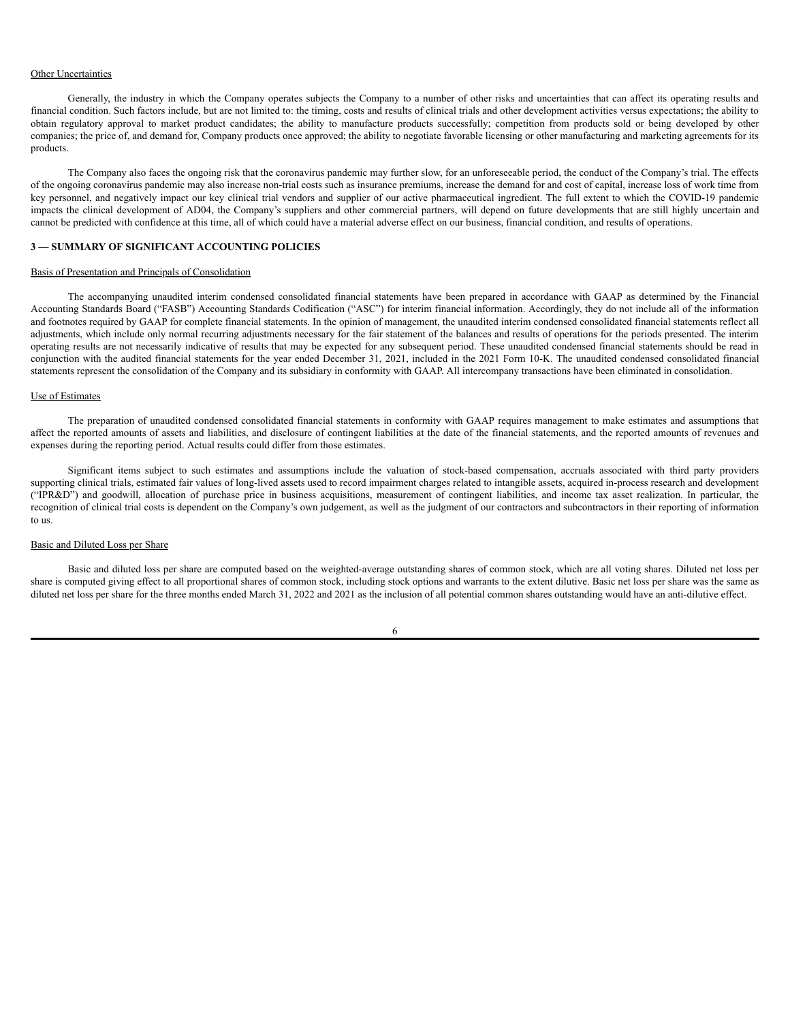#### Other Uncertainties

Generally, the industry in which the Company operates subjects the Company to a number of other risks and uncertainties that can affect its operating results and financial condition. Such factors include, but are not limited to: the timing, costs and results of clinical trials and other development activities versus expectations; the ability to obtain regulatory approval to market product candidates; the ability to manufacture products successfully; competition from products sold or being developed by other companies; the price of, and demand for, Company products once approved; the ability to negotiate favorable licensing or other manufacturing and marketing agreements for its products.

The Company also faces the ongoing risk that the coronavirus pandemic may further slow, for an unforeseeable period, the conduct of the Company's trial. The effects of the ongoing coronavirus pandemic may also increase non-trial costs such as insurance premiums, increase the demand for and cost of capital, increase loss of work time from key personnel, and negatively impact our key clinical trial vendors and supplier of our active pharmaceutical ingredient. The full extent to which the COVID-19 pandemic impacts the clinical development of AD04, the Company's suppliers and other commercial partners, will depend on future developments that are still highly uncertain and cannot be predicted with confidence at this time, all of which could have a material adverse effect on our business, financial condition, and results of operations.

## **3 — SUMMARY OF SIGNIFICANT ACCOUNTING POLICIES**

#### Basis of Presentation and Principals of Consolidation

The accompanying unaudited interim condensed consolidated financial statements have been prepared in accordance with GAAP as determined by the Financial Accounting Standards Board ("FASB") Accounting Standards Codification ("ASC") for interim financial information. Accordingly, they do not include all of the information and footnotes required by GAAP for complete financial statements. In the opinion of management, the unaudited interim condensed consolidated financial statements reflect all adjustments, which include only normal recurring adjustments necessary for the fair statement of the balances and results of operations for the periods presented. The interim operating results are not necessarily indicative of results that may be expected for any subsequent period. These unaudited condensed financial statements should be read in conjunction with the audited financial statements for the year ended December 31, 2021, included in the 2021 Form 10-K. The unaudited condensed consolidated financial statements represent the consolidation of the Company and its subsidiary in conformity with GAAP. All intercompany transactions have been eliminated in consolidation.

## Use of Estimates

The preparation of unaudited condensed consolidated financial statements in conformity with GAAP requires management to make estimates and assumptions that affect the reported amounts of assets and liabilities, and disclosure of contingent liabilities at the date of the financial statements, and the reported amounts of revenues and expenses during the reporting period. Actual results could differ from those estimates.

Significant items subject to such estimates and assumptions include the valuation of stock-based compensation, accruals associated with third party providers supporting clinical trials, estimated fair values of long-lived assets used to record impairment charges related to intangible assets, acquired in-process research and development ("IPR&D") and goodwill, allocation of purchase price in business acquisitions, measurement of contingent liabilities, and income tax asset realization. In particular, the recognition of clinical trial costs is dependent on the Company's own judgement, as well as the judgment of our contractors and subcontractors in their reporting of information to us.

### Basic and Diluted Loss per Share

Basic and diluted loss per share are computed based on the weighted-average outstanding shares of common stock, which are all voting shares. Diluted net loss per share is computed giving effect to all proportional shares of common stock, including stock options and warrants to the extent dilutive. Basic net loss per share was the same as diluted net loss per share for the three months ended March 31, 2022 and 2021 as the inclusion of all potential common shares outstanding would have an anti-dilutive effect.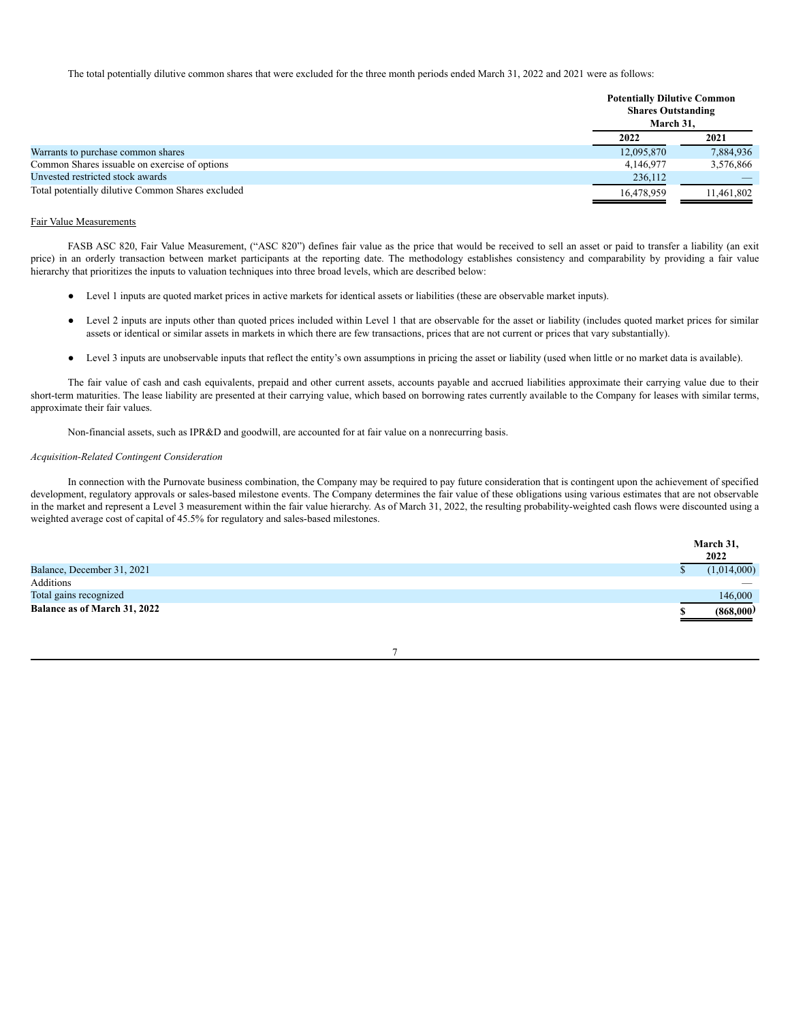The total potentially dilutive common shares that were excluded for the three month periods ended March 31, 2022 and 2021 were as follows:

|                                                   | <b>Potentially Dilutive Common</b><br><b>Shares Outstanding</b><br>March 31. |            |
|---------------------------------------------------|------------------------------------------------------------------------------|------------|
|                                                   | 2022                                                                         | 2021       |
| Warrants to purchase common shares                | 12,095,870                                                                   | 7,884,936  |
| Common Shares issuable on exercise of options     | 4.146.977                                                                    | 3,576,866  |
| Unvested restricted stock awards                  | 236,112                                                                      |            |
| Total potentially dilutive Common Shares excluded | 16,478,959                                                                   | 11,461,802 |

### Fair Value Measurements

FASB ASC 820, Fair Value Measurement, ("ASC 820") defines fair value as the price that would be received to sell an asset or paid to transfer a liability (an exit price) in an orderly transaction between market participants at the reporting date. The methodology establishes consistency and comparability by providing a fair value hierarchy that prioritizes the inputs to valuation techniques into three broad levels, which are described below:

- Level 1 inputs are quoted market prices in active markets for identical assets or liabilities (these are observable market inputs).
- Level 2 inputs are inputs other than quoted prices included within Level 1 that are observable for the asset or liability (includes quoted market prices for similar assets or identical or similar assets in markets in which there are few transactions, prices that are not current or prices that vary substantially).
- Level 3 inputs are unobservable inputs that reflect the entity's own assumptions in pricing the asset or liability (used when little or no market data is available).

The fair value of cash and cash equivalents, prepaid and other current assets, accounts payable and accrued liabilities approximate their carrying value due to their short-term maturities. The lease liability are presented at their carrying value, which based on borrowing rates currently available to the Company for leases with similar terms, approximate their fair values.

Non-financial assets, such as IPR&D and goodwill, are accounted for at fair value on a nonrecurring basis.

### *Acquisition-Related Contingent Consideration*

In connection with the Purnovate business combination, the Company may be required to pay future consideration that is contingent upon the achievement of specified development, regulatory approvals or sales-based milestone events. The Company determines the fair value of these obligations using various estimates that are not observable in the market and represent a Level 3 measurement within the fair value hierarchy. As of March 31, 2022, the resulting probability-weighted cash flows were discounted using a weighted average cost of capital of 45.5% for regulatory and sales-based milestones.

**March 31,**

|                              | $M$ al Cil J $\mathbf{I}$ |
|------------------------------|---------------------------|
|                              | 2022                      |
| Balance, December 31, 2021   | (1,014,000)               |
| Additions                    |                           |
| Total gains recognized       | 146,000                   |
| Balance as of March 31, 2022 | (868,000)                 |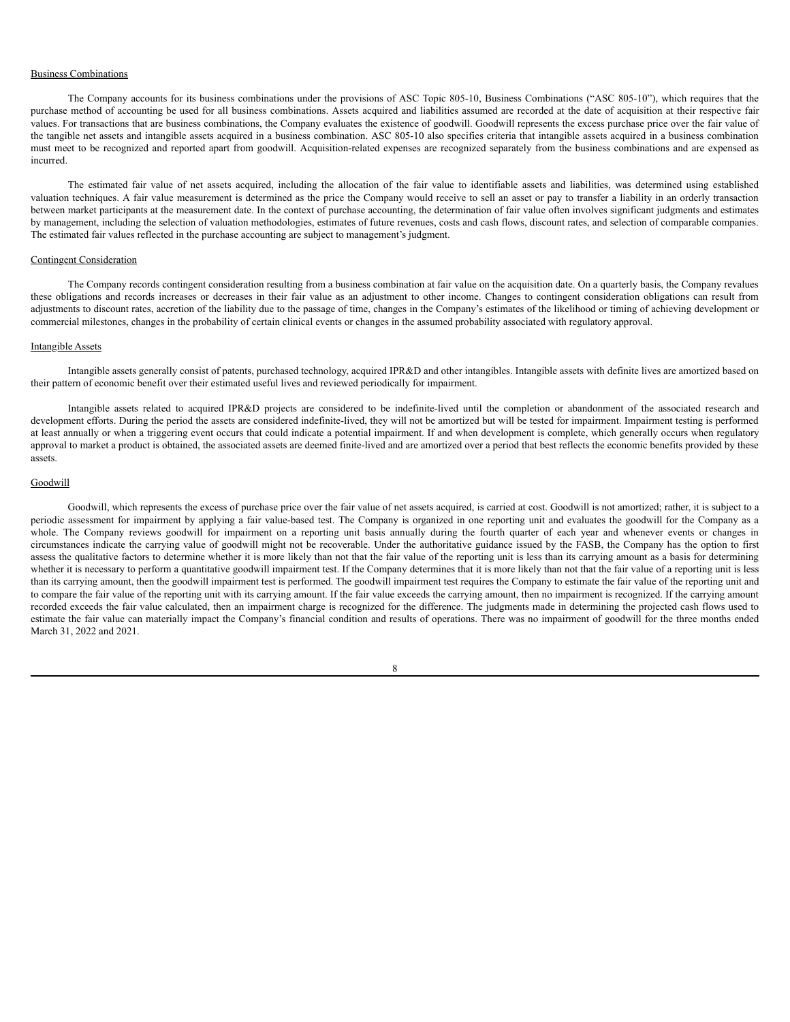#### Business Combinations

The Company accounts for its business combinations under the provisions of ASC Topic 805-10, Business Combinations ("ASC 805-10"), which requires that the purchase method of accounting be used for all business combinations. Assets acquired and liabilities assumed are recorded at the date of acquisition at their respective fair values. For transactions that are business combinations, the Company evaluates the existence of goodwill. Goodwill represents the excess purchase price over the fair value of the tangible net assets and intangible assets acquired in a business combination. ASC 805-10 also specifies criteria that intangible assets acquired in a business combination must meet to be recognized and reported apart from goodwill. Acquisition-related expenses are recognized separately from the business combinations and are expensed as incurred.

The estimated fair value of net assets acquired, including the allocation of the fair value to identifiable assets and liabilities, was determined using established valuation techniques. A fair value measurement is determined as the price the Company would receive to sell an asset or pay to transfer a liability in an orderly transaction between market participants at the measurement date. In the context of purchase accounting, the determination of fair value often involves significant judgments and estimates by management, including the selection of valuation methodologies, estimates of future revenues, costs and cash flows, discount rates, and selection of comparable companies. The estimated fair values reflected in the purchase accounting are subject to management's judgment.

## Contingent Consideration

The Company records contingent consideration resulting from a business combination at fair value on the acquisition date. On a quarterly basis, the Company revalues these obligations and records increases or decreases in their fair value as an adjustment to other income. Changes to contingent consideration obligations can result from adjustments to discount rates, accretion of the liability due to the passage of time, changes in the Company's estimates of the likelihood or timing of achieving development or commercial milestones, changes in the probability of certain clinical events or changes in the assumed probability associated with regulatory approval.

## Intangible Assets

Intangible assets generally consist of patents, purchased technology, acquired IPR&D and other intangibles. Intangible assets with definite lives are amortized based on their pattern of economic benefit over their estimated useful lives and reviewed periodically for impairment.

Intangible assets related to acquired IPR&D projects are considered to be indefinite-lived until the completion or abandonment of the associated research and development efforts. During the period the assets are considered indefinite-lived, they will not be amortized but will be tested for impairment. Impairment testing is performed at least annually or when a triggering event occurs that could indicate a potential impairment. If and when development is complete, which generally occurs when regulatory approval to market a product is obtained, the associated assets are deemed finite-lived and are amortized over a period that best reflects the economic benefits provided by these assets.

#### **Goodwill**

Goodwill, which represents the excess of purchase price over the fair value of net assets acquired, is carried at cost. Goodwill is not amortized; rather, it is subject to a periodic assessment for impairment by applying a fair value-based test. The Company is organized in one reporting unit and evaluates the goodwill for the Company as a whole. The Company reviews goodwill for impairment on a reporting unit basis annually during the fourth quarter of each year and whenever events or changes in circumstances indicate the carrying value of goodwill might not be recoverable. Under the authoritative guidance issued by the FASB, the Company has the option to first assess the qualitative factors to determine whether it is more likely than not that the fair value of the reporting unit is less than its carrying amount as a basis for determining whether it is necessary to perform a quantitative goodwill impairment test. If the Company determines that it is more likely than not that the fair value of a reporting unit is less than its carrying amount, then the goodwill impairment test is performed. The goodwill impairment test requires the Company to estimate the fair value of the reporting unit and to compare the fair value of the reporting unit with its carrying amount. If the fair value exceeds the carrying amount, then no impairment is recognized. If the carrying amount recorded exceeds the fair value calculated, then an impairment charge is recognized for the difference. The judgments made in determining the projected cash flows used to estimate the fair value can materially impact the Company's financial condition and results of operations. There was no impairment of goodwill for the three months ended March 31, 2022 and 2021.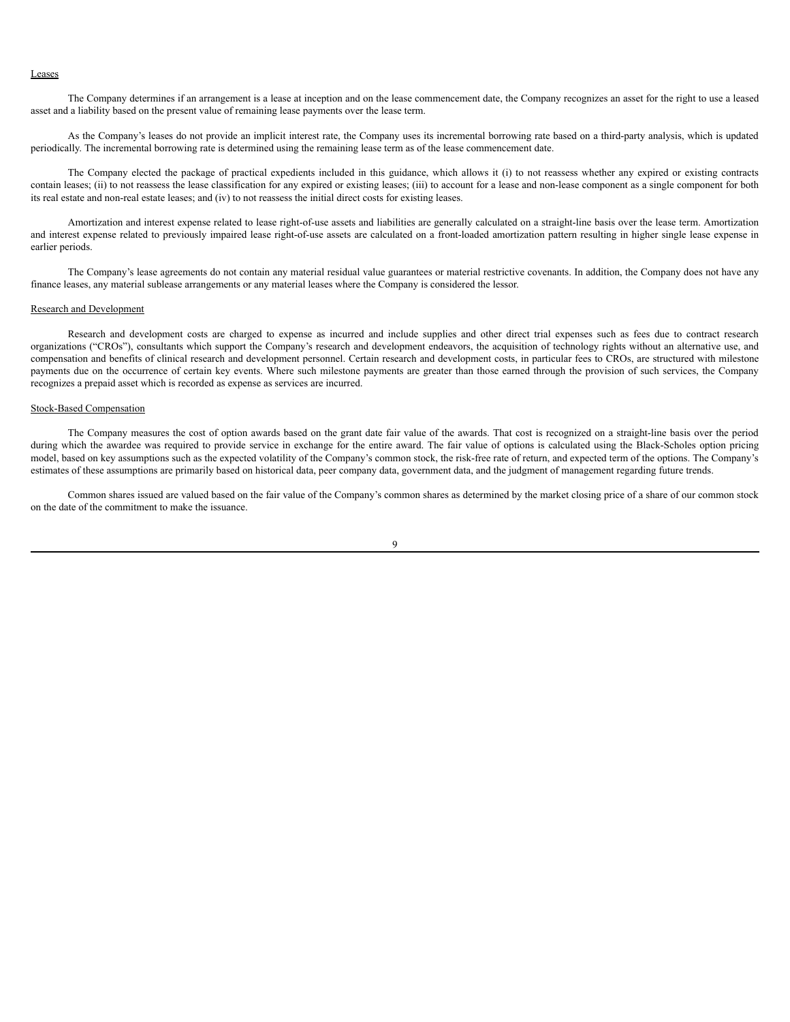#### Leases

The Company determines if an arrangement is a lease at inception and on the lease commencement date, the Company recognizes an asset for the right to use a leased asset and a liability based on the present value of remaining lease payments over the lease term.

As the Company's leases do not provide an implicit interest rate, the Company uses its incremental borrowing rate based on a third-party analysis, which is updated periodically. The incremental borrowing rate is determined using the remaining lease term as of the lease commencement date.

The Company elected the package of practical expedients included in this guidance, which allows it (i) to not reassess whether any expired or existing contracts contain leases; (ii) to not reassess the lease classification for any expired or existing leases; (iii) to account for a lease and non-lease component as a single component for both its real estate and non-real estate leases; and (iv) to not reassess the initial direct costs for existing leases.

Amortization and interest expense related to lease right-of-use assets and liabilities are generally calculated on a straight-line basis over the lease term. Amortization and interest expense related to previously impaired lease right-of-use assets are calculated on a front-loaded amortization pattern resulting in higher single lease expense in earlier periods.

The Company's lease agreements do not contain any material residual value guarantees or material restrictive covenants. In addition, the Company does not have any finance leases, any material sublease arrangements or any material leases where the Company is considered the lessor.

## Research and Development

Research and development costs are charged to expense as incurred and include supplies and other direct trial expenses such as fees due to contract research organizations ("CROs"), consultants which support the Company's research and development endeavors, the acquisition of technology rights without an alternative use, and compensation and benefits of clinical research and development personnel. Certain research and development costs, in particular fees to CROs, are structured with milestone payments due on the occurrence of certain key events. Where such milestone payments are greater than those earned through the provision of such services, the Company recognizes a prepaid asset which is recorded as expense as services are incurred.

#### Stock-Based Compensation

The Company measures the cost of option awards based on the grant date fair value of the awards. That cost is recognized on a straight-line basis over the period during which the awardee was required to provide service in exchange for the entire award. The fair value of options is calculated using the Black-Scholes option pricing model, based on key assumptions such as the expected volatility of the Company's common stock, the risk-free rate of return, and expected term of the options. The Company's estimates of these assumptions are primarily based on historical data, peer company data, government data, and the judgment of management regarding future trends.

Common shares issued are valued based on the fair value of the Company's common shares as determined by the market closing price of a share of our common stock on the date of the commitment to make the issuance.

 $\alpha$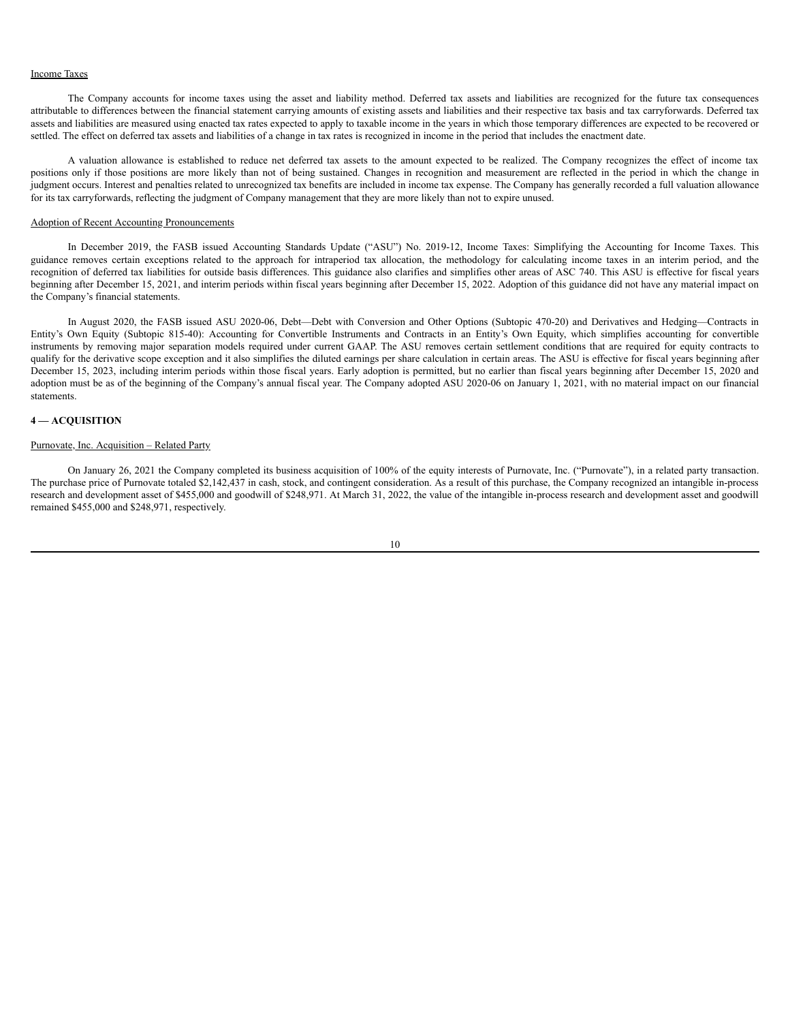## Income Taxes

The Company accounts for income taxes using the asset and liability method. Deferred tax assets and liabilities are recognized for the future tax consequences attributable to differences between the financial statement carrying amounts of existing assets and liabilities and their respective tax basis and tax carryforwards. Deferred tax assets and liabilities are measured using enacted tax rates expected to apply to taxable income in the years in which those temporary differences are expected to be recovered or settled. The effect on deferred tax assets and liabilities of a change in tax rates is recognized in income in the period that includes the enactment date.

A valuation allowance is established to reduce net deferred tax assets to the amount expected to be realized. The Company recognizes the effect of income tax positions only if those positions are more likely than not of being sustained. Changes in recognition and measurement are reflected in the period in which the change in judgment occurs. Interest and penalties related to unrecognized tax benefits are included in income tax expense. The Company has generally recorded a full valuation allowance for its tax carryforwards, reflecting the judgment of Company management that they are more likely than not to expire unused.

### Adoption of Recent Accounting Pronouncements

In December 2019, the FASB issued Accounting Standards Update ("ASU") No. 2019-12, Income Taxes: Simplifying the Accounting for Income Taxes. This guidance removes certain exceptions related to the approach for intraperiod tax allocation, the methodology for calculating income taxes in an interim period, and the recognition of deferred tax liabilities for outside basis differences. This guidance also clarifies and simplifies other areas of ASC 740. This ASU is effective for fiscal years beginning after December 15, 2021, and interim periods within fiscal years beginning after December 15, 2022. Adoption of this guidance did not have any material impact on the Company's financial statements.

In August 2020, the FASB issued ASU 2020-06, Debt—Debt with Conversion and Other Options (Subtopic 470-20) and Derivatives and Hedging—Contracts in Entity's Own Equity (Subtopic 815-40): Accounting for Convertible Instruments and Contracts in an Entity's Own Equity, which simplifies accounting for convertible instruments by removing major separation models required under current GAAP. The ASU removes certain settlement conditions that are required for equity contracts to qualify for the derivative scope exception and it also simplifies the diluted earnings per share calculation in certain areas. The ASU is effective for fiscal years beginning after December 15, 2023, including interim periods within those fiscal years. Early adoption is permitted, but no earlier than fiscal years beginning after December 15, 2020 and adoption must be as of the beginning of the Company's annual fiscal year. The Company adopted ASU 2020-06 on January 1, 2021, with no material impact on our financial statements.

## **4 — ACQUISITION**

## Purnovate, Inc. Acquisition – Related Party

On January 26, 2021 the Company completed its business acquisition of 100% of the equity interests of Purnovate, Inc. ("Purnovate"), in a related party transaction. The purchase price of Purnovate totaled \$2,142,437 in cash, stock, and contingent consideration. As a result of this purchase, the Company recognized an intangible in-process research and development asset of \$455,000 and goodwill of \$248,971. At March 31, 2022, the value of the intangible in-process research and development asset and goodwill remained \$455,000 and \$248,971, respectively.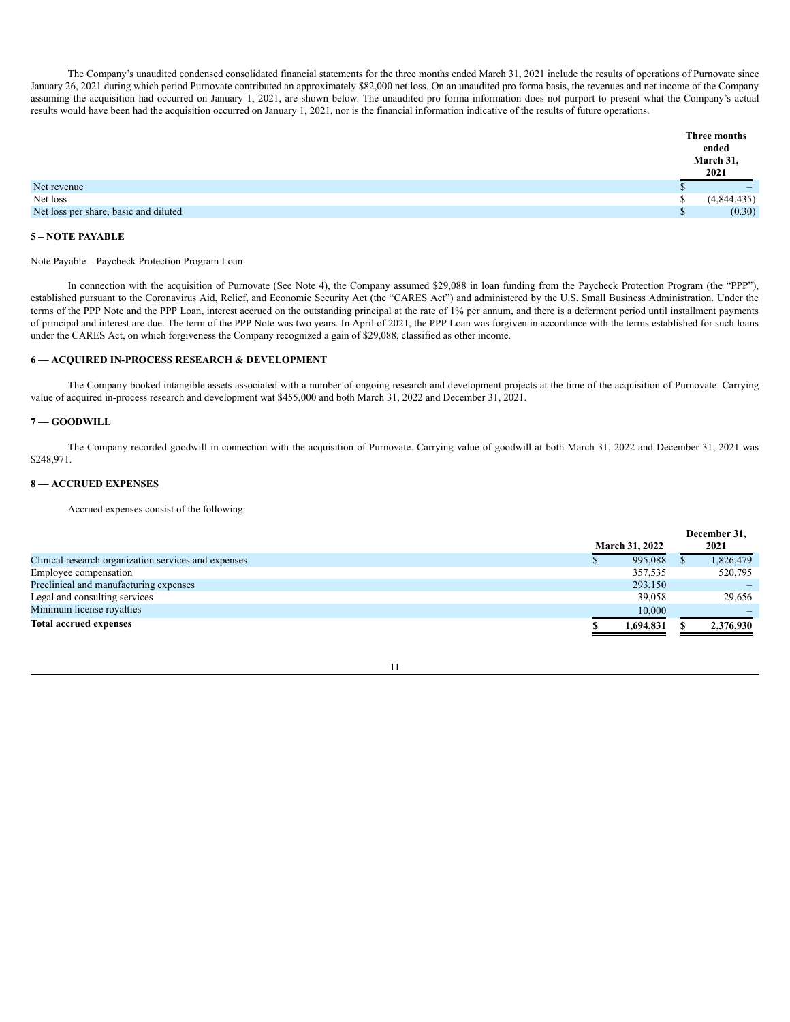The Company's unaudited condensed consolidated financial statements for the three months ended March 31, 2021 include the results of operations of Purnovate since January 26, 2021 during which period Purnovate contributed an approximately \$82,000 net loss. On an unaudited pro forma basis, the revenues and net income of the Company assuming the acquisition had occurred on January 1, 2021, are shown below. The unaudited pro forma information does not purport to present what the Company's actual results would have been had the acquisition occurred on January 1, 2021, nor is the financial information indicative of the results of future operations.

|                                       |  | Three months<br>ended<br>March 31,<br>2021 |
|---------------------------------------|--|--------------------------------------------|
| Net revenue                           |  | $\overline{\phantom{0}}$                   |
| Net loss                              |  | (4,844,435)                                |
| Net loss per share, basic and diluted |  | (0.30)                                     |

## **5 – NOTE PAYABLE**

## Note Payable – Paycheck Protection Program Loan

In connection with the acquisition of Purnovate (See Note 4), the Company assumed \$29,088 in loan funding from the Paycheck Protection Program (the "PPP"), established pursuant to the Coronavirus Aid, Relief, and Economic Security Act (the "CARES Act") and administered by the U.S. Small Business Administration. Under the terms of the PPP Note and the PPP Loan, interest accrued on the outstanding principal at the rate of 1% per annum, and there is a deferment period until installment payments of principal and interest are due. The term of the PPP Note was two years. In April of 2021, the PPP Loan was forgiven in accordance with the terms established for such loans under the CARES Act, on which forgiveness the Company recognized a gain of \$29,088, classified as other income.

## **6 — ACQUIRED IN-PROCESS RESEARCH & DEVELOPMENT**

The Company booked intangible assets associated with a number of ongoing research and development projects at the time of the acquisition of Purnovate. Carrying value of acquired in-process research and development wat \$455,000 and both March 31, 2022 and December 31, 2021.

## **7 — GOODWILL**

The Company recorded goodwill in connection with the acquisition of Purnovate. Carrying value of goodwill at both March 31, 2022 and December 31, 2021 was \$248,971.

## **8 — ACCRUED EXPENSES**

Accrued expenses consist of the following:

|                                                      |                       | December 31, |
|------------------------------------------------------|-----------------------|--------------|
|                                                      | <b>March 31, 2022</b> | 2021         |
| Clinical research organization services and expenses | 995,088               | 1,826,479    |
| Employee compensation                                | 357,535               | 520,795      |
| Preclinical and manufacturing expenses               | 293.150               |              |
| Legal and consulting services                        | 39.058                | 29,656       |
| Minimum license royalties                            | 10,000                |              |
| <b>Total accrued expenses</b>                        | 1,694,831             | 2,376,930    |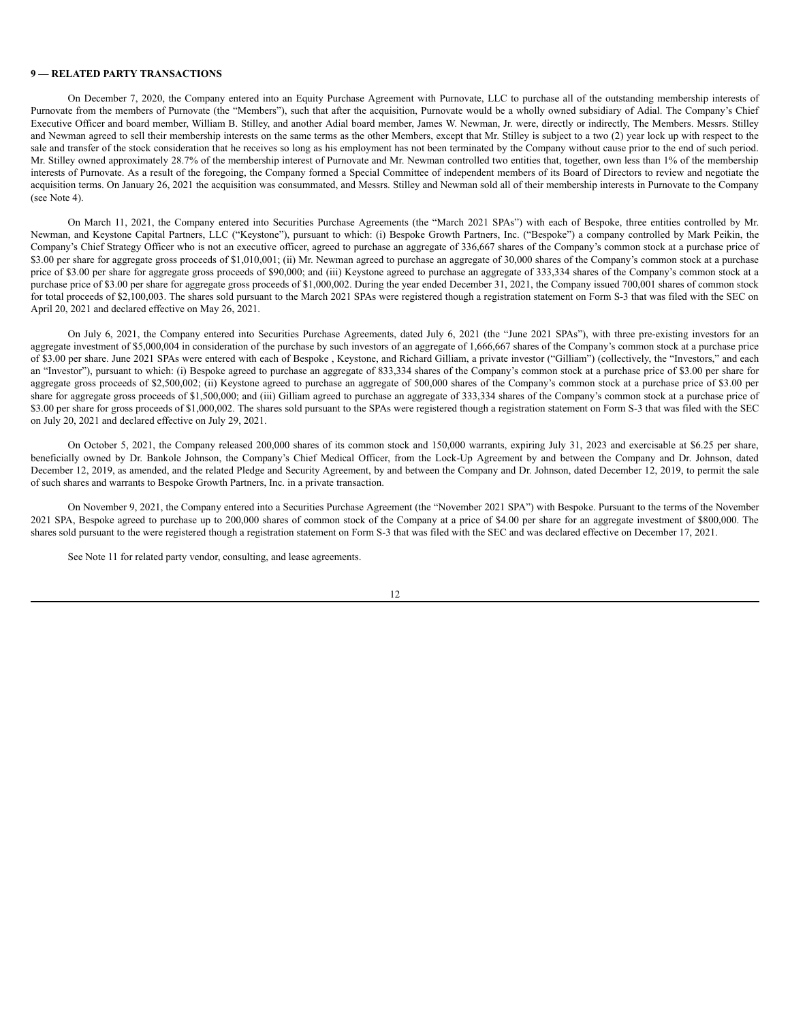## **9 — RELATED PARTY TRANSACTIONS**

On December 7, 2020, the Company entered into an Equity Purchase Agreement with Purnovate, LLC to purchase all of the outstanding membership interests of Purnovate from the members of Purnovate (the "Members"), such that after the acquisition, Purnovate would be a wholly owned subsidiary of Adial. The Company's Chief Executive Officer and board member, William B. Stilley, and another Adial board member, James W. Newman, Jr. were, directly or indirectly, The Members. Messrs. Stilley and Newman agreed to sell their membership interests on the same terms as the other Members, except that Mr. Stilley is subject to a two (2) year lock up with respect to the sale and transfer of the stock consideration that he receives so long as his employment has not been terminated by the Company without cause prior to the end of such period. Mr. Stilley owned approximately 28.7% of the membership interest of Purnovate and Mr. Newman controlled two entities that, together, own less than 1% of the membership interests of Purnovate. As a result of the foregoing, the Company formed a Special Committee of independent members of its Board of Directors to review and negotiate the acquisition terms. On January 26, 2021 the acquisition was consummated, and Messrs. Stilley and Newman sold all of their membership interests in Purnovate to the Company (see Note 4).

On March 11, 2021, the Company entered into Securities Purchase Agreements (the "March 2021 SPAs") with each of Bespoke, three entities controlled by Mr. Newman, and Keystone Capital Partners, LLC ("Keystone"), pursuant to which: (i) Bespoke Growth Partners, Inc. ("Bespoke") a company controlled by Mark Peikin, the Company's Chief Strategy Officer who is not an executive officer, agreed to purchase an aggregate of 336,667 shares of the Company's common stock at a purchase price of \$3.00 per share for aggregate gross proceeds of \$1,010,001; (ii) Mr. Newman agreed to purchase an aggregate of 30,000 shares of the Company's common stock at a purchase price of \$3.00 per share for aggregate gross proceeds of \$90,000; and (iii) Keystone agreed to purchase an aggregate of 333,334 shares of the Company's common stock at a purchase price of \$3.00 per share for aggregate gross proceeds of \$1,000,002. During the year ended December 31, 2021, the Company issued 700,001 shares of common stock for total proceeds of \$2,100,003. The shares sold pursuant to the March 2021 SPAs were registered though a registration statement on Form S-3 that was filed with the SEC on April 20, 2021 and declared effective on May 26, 2021.

On July 6, 2021, the Company entered into Securities Purchase Agreements, dated July 6, 2021 (the "June 2021 SPAs"), with three pre-existing investors for an aggregate investment of \$5,000,004 in consideration of the purchase by such investors of an aggregate of 1,666,667 shares of the Company's common stock at a purchase price of \$3.00 per share. June 2021 SPAs were entered with each of Bespoke , Keystone, and Richard Gilliam, a private investor ("Gilliam") (collectively, the "Investors," and each an "Investor"), pursuant to which: (i) Bespoke agreed to purchase an aggregate of 833,334 shares of the Company's common stock at a purchase price of \$3.00 per share for aggregate gross proceeds of \$2,500,002; (ii) Keystone agreed to purchase an aggregate of 500,000 shares of the Company's common stock at a purchase price of \$3.00 per share for aggregate gross proceeds of \$1,500,000; and (iii) Gilliam agreed to purchase an aggregate of 333,334 shares of the Company's common stock at a purchase price of \$3.00 per share for gross proceeds of \$1,000,002. The shares sold pursuant to the SPAs were registered though a registration statement on Form S-3 that was filed with the SEC on July 20, 2021 and declared effective on July 29, 2021.

On October 5, 2021, the Company released 200,000 shares of its common stock and 150,000 warrants, expiring July 31, 2023 and exercisable at \$6.25 per share, beneficially owned by Dr. Bankole Johnson, the Company's Chief Medical Officer, from the Lock-Up Agreement by and between the Company and Dr. Johnson, dated December 12, 2019, as amended, and the related Pledge and Security Agreement, by and between the Company and Dr. Johnson, dated December 12, 2019, to permit the sale of such shares and warrants to Bespoke Growth Partners, Inc. in a private transaction.

On November 9, 2021, the Company entered into a Securities Purchase Agreement (the "November 2021 SPA") with Bespoke. Pursuant to the terms of the November 2021 SPA, Bespoke agreed to purchase up to 200,000 shares of common stock of the Company at a price of \$4.00 per share for an aggregate investment of \$800,000. The shares sold pursuant to the were registered though a registration statement on Form S-3 that was filed with the SEC and was declared effective on December 17, 2021.

See Note 11 for related party vendor, consulting, and lease agreements.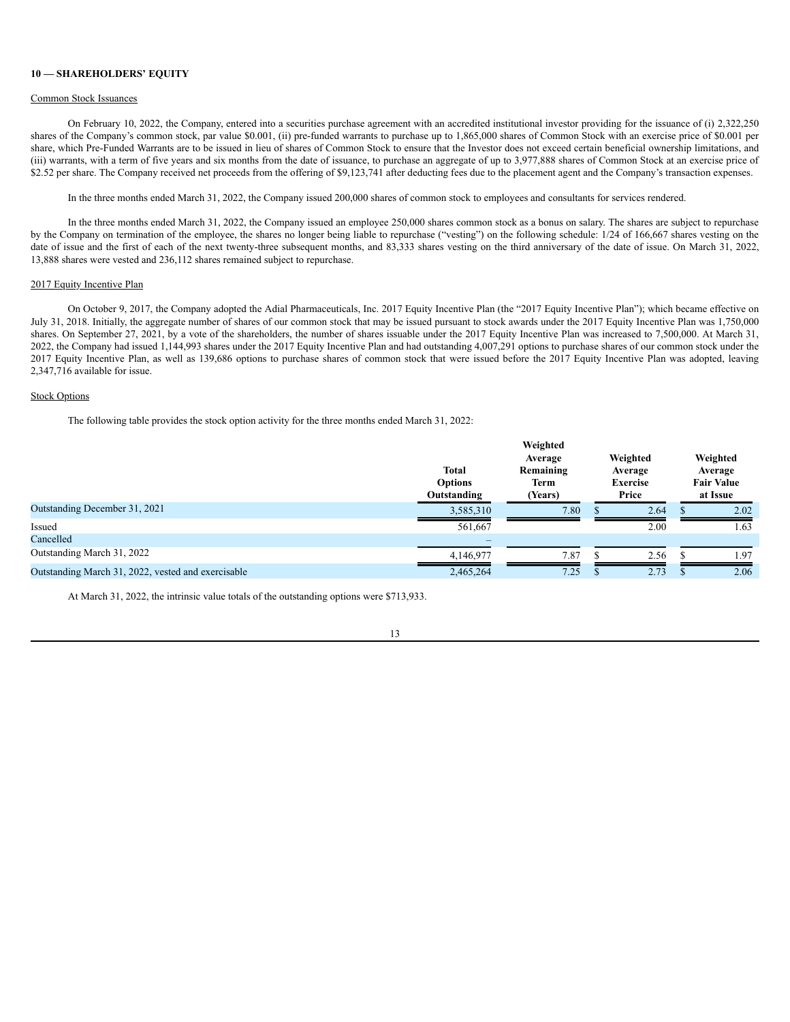#### **10 — SHAREHOLDERS' EQUITY**

#### Common Stock Issuances

On February 10, 2022, the Company, entered into a securities purchase agreement with an accredited institutional investor providing for the issuance of (i) 2,322,250 shares of the Company's common stock, par value \$0.001, (ii) pre-funded warrants to purchase up to 1,865,000 shares of Common Stock with an exercise price of \$0.001 per share, which Pre-Funded Warrants are to be issued in lieu of shares of Common Stock to ensure that the Investor does not exceed certain beneficial ownership limitations, and (iii) warrants, with a term of five years and six months from the date of issuance, to purchase an aggregate of up to 3,977,888 shares of Common Stock at an exercise price of \$2.52 per share. The Company received net proceeds from the offering of \$9,123,741 after deducting fees due to the placement agent and the Company's transaction expenses.

In the three months ended March 31, 2022, the Company issued 200,000 shares of common stock to employees and consultants for services rendered.

In the three months ended March 31, 2022, the Company issued an employee 250,000 shares common stock as a bonus on salary. The shares are subject to repurchase by the Company on termination of the employee, the shares no longer being liable to repurchase ("vesting") on the following schedule: 1/24 of 166,667 shares vesting on the date of issue and the first of each of the next twenty-three subsequent months, and 83,333 shares vesting on the third anniversary of the date of issue. On March 31, 2022, 13,888 shares were vested and 236,112 shares remained subject to repurchase.

#### 2017 Equity Incentive Plan

On October 9, 2017, the Company adopted the Adial Pharmaceuticals, Inc. 2017 Equity Incentive Plan (the "2017 Equity Incentive Plan"); which became effective on July 31, 2018. Initially, the aggregate number of shares of our common stock that may be issued pursuant to stock awards under the 2017 Equity Incentive Plan was 1,750,000 shares. On September 27, 2021, by a vote of the shareholders, the number of shares issuable under the 2017 Equity Incentive Plan was increased to 7,500,000. At March 31, 2022, the Company had issued 1,144,993 shares under the 2017 Equity Incentive Plan and had outstanding 4,007,291 options to purchase shares of our common stock under the 2017 Equity Incentive Plan, as well as 139,686 options to purchase shares of common stock that were issued before the 2017 Equity Incentive Plan was adopted, leaving 2,347,716 available for issue.

## Stock Options

The following table provides the stock option activity for the three months ended March 31, 2022:

|                                                    | <b>Total</b><br><b>Options</b><br>Outstanding | Weighted<br>Average<br>Remaining<br>Term<br>(Years) | Weighted<br>Average<br><b>Exercise</b><br>Price | Weighted<br>Average<br><b>Fair Value</b><br>at Issue |
|----------------------------------------------------|-----------------------------------------------|-----------------------------------------------------|-------------------------------------------------|------------------------------------------------------|
| Outstanding December 31, 2021                      | 3,585,310                                     | 7.80                                                | 2.64                                            | 2.02                                                 |
| Issued                                             | 561,667                                       |                                                     | 2.00                                            | 1.63                                                 |
| Cancelled                                          | -                                             |                                                     |                                                 |                                                      |
| Outstanding March 31, 2022                         | 4,146,977                                     | 7.87                                                | 2.56                                            | 1.97                                                 |
| Outstanding March 31, 2022, vested and exercisable | 2,465,264                                     | 7.25                                                | 2.73                                            | 2.06                                                 |

At March 31, 2022, the intrinsic value totals of the outstanding options were \$713,933.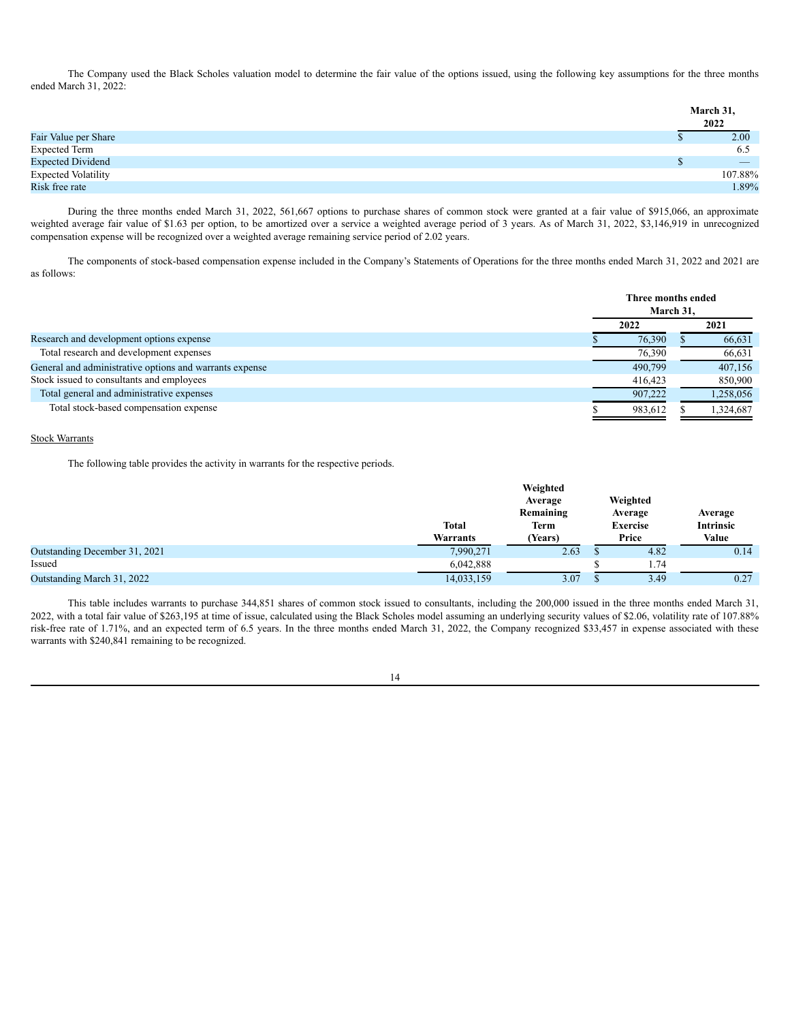The Company used the Black Scholes valuation model to determine the fair value of the options issued, using the following key assumptions for the three months ended March 31, 2022:

|                            | March 31,<br>2022 |
|----------------------------|-------------------|
| Fair Value per Share       | 2.00              |
| <b>Expected Term</b>       | 6.5               |
| <b>Expected Dividend</b>   |                   |
| <b>Expected Volatility</b> | 107.88%           |
| Risk free rate             | 1.89%             |

During the three months ended March 31, 2022, 561,667 options to purchase shares of common stock were granted at a fair value of \$915,066, an approximate weighted average fair value of \$1.63 per option, to be amortized over a service a weighted average period of 3 years. As of March 31, 2022, \$3,146,919 in unrecognized compensation expense will be recognized over a weighted average remaining service period of 2.02 years.

The components of stock-based compensation expense included in the Company's Statements of Operations for the three months ended March 31, 2022 and 2021 are as follows:

|                                                         | Three months ended<br>March 31. |           |
|---------------------------------------------------------|---------------------------------|-----------|
|                                                         | 2022                            | 2021      |
| Research and development options expense                | 76,390                          | 66,631    |
| Total research and development expenses                 | 76,390                          | 66,631    |
| General and administrative options and warrants expense | 490.799                         | 407.156   |
| Stock issued to consultants and employees               | 416.423                         | 850,900   |
| Total general and administrative expenses               | 907,222                         | 1,258,056 |
| Total stock-based compensation expense                  | 983.612                         | 1,324,687 |

## Stock Warrants

The following table provides the activity in warrants for the respective periods.

|                               |                          | Weighted<br>Average<br>Remaining | Weighted<br>Average      | Average                   |
|-------------------------------|--------------------------|----------------------------------|--------------------------|---------------------------|
|                               | <b>Total</b><br>Warrants | <b>Term</b><br>(Years)           | <b>Exercise</b><br>Price | <b>Intrinsic</b><br>Value |
| Outstanding December 31, 2021 | 7,990,271                | 2.63                             | 4.82                     | 0.14                      |
| Issued                        | 6,042,888                |                                  | 1.74                     |                           |
| Outstanding March 31, 2022    | 14,033,159               | 3.07                             | 3.49                     | 0.27                      |

This table includes warrants to purchase 344,851 shares of common stock issued to consultants, including the 200,000 issued in the three months ended March 31, 2022, with a total fair value of \$263,195 at time of issue, calculated using the Black Scholes model assuming an underlying security values of \$2.06, volatility rate of 107.88% risk-free rate of 1.71%, and an expected term of 6.5 years. In the three months ended March 31, 2022, the Company recognized \$33,457 in expense associated with these warrants with \$240,841 remaining to be recognized.

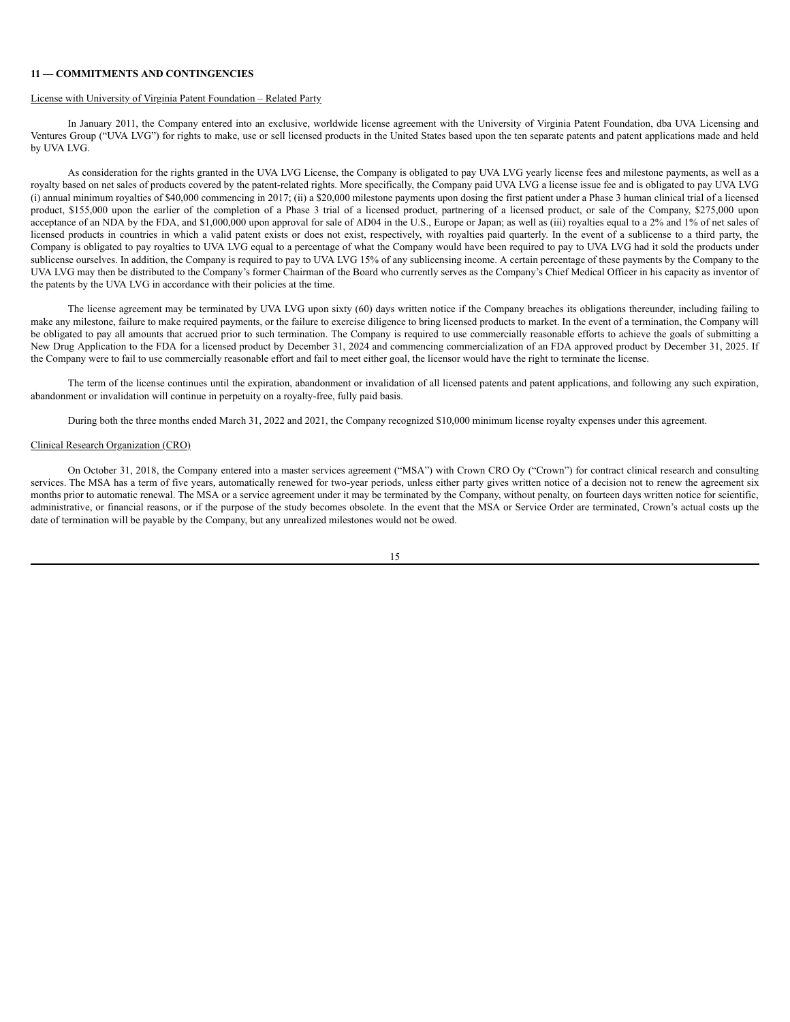## **11 — COMMITMENTS AND CONTINGENCIES**

#### License with University of Virginia Patent Foundation – Related Party

In January 2011, the Company entered into an exclusive, worldwide license agreement with the University of Virginia Patent Foundation, dba UVA Licensing and Ventures Group ("UVA LVG") for rights to make, use or sell licensed products in the United States based upon the ten separate patents and patent applications made and held by UVA LVG.

As consideration for the rights granted in the UVA LVG License, the Company is obligated to pay UVA LVG yearly license fees and milestone payments, as well as a royalty based on net sales of products covered by the patent-related rights. More specifically, the Company paid UVA LVG a license issue fee and is obligated to pay UVA LVG (i) annual minimum royalties of \$40,000 commencing in 2017; (ii) a \$20,000 milestone payments upon dosing the first patient under a Phase 3 human clinical trial of a licensed product, \$155,000 upon the earlier of the completion of a Phase 3 trial of a licensed product, partnering of a licensed product, or sale of the Company, \$275,000 upon acceptance of an NDA by the FDA, and \$1,000,000 upon approval for sale of AD04 in the U.S., Europe or Japan; as well as (iii) royalties equal to a 2% and 1% of net sales of licensed products in countries in which a valid patent exists or does not exist, respectively, with royalties paid quarterly. In the event of a sublicense to a third party, the Company is obligated to pay royalties to UVA LVG equal to a percentage of what the Company would have been required to pay to UVA LVG had it sold the products under sublicense ourselves. In addition, the Company is required to pay to UVA LVG 15% of any sublicensing income. A certain percentage of these payments by the Company to the UVA LVG may then be distributed to the Company's former Chairman of the Board who currently serves as the Company's Chief Medical Officer in his capacity as inventor of the patents by the UVA LVG in accordance with their policies at the time.

The license agreement may be terminated by UVA LVG upon sixty (60) days written notice if the Company breaches its obligations thereunder, including failing to make any milestone, failure to make required payments, or the failure to exercise diligence to bring licensed products to market. In the event of a termination, the Company will be obligated to pay all amounts that accrued prior to such termination. The Company is required to use commercially reasonable efforts to achieve the goals of submitting a New Drug Application to the FDA for a licensed product by December 31, 2024 and commencing commercialization of an FDA approved product by December 31, 2025. If the Company were to fail to use commercially reasonable effort and fail to meet either goal, the licensor would have the right to terminate the license.

The term of the license continues until the expiration, abandonment or invalidation of all licensed patents and patent applications, and following any such expiration, abandonment or invalidation will continue in perpetuity on a royalty-free, fully paid basis.

During both the three months ended March 31, 2022 and 2021, the Company recognized \$10,000 minimum license royalty expenses under this agreement.

## Clinical Research Organization (CRO)

On October 31, 2018, the Company entered into a master services agreement ("MSA") with Crown CRO Oy ("Crown") for contract clinical research and consulting services. The MSA has a term of five years, automatically renewed for two-year periods, unless either party gives written notice of a decision not to renew the agreement six months prior to automatic renewal. The MSA or a service agreement under it may be terminated by the Company, without penalty, on fourteen days written notice for scientific, administrative, or financial reasons, or if the purpose of the study becomes obsolete. In the event that the MSA or Service Order are terminated, Crown's actual costs up the date of termination will be payable by the Company, but any unrealized milestones would not be owed.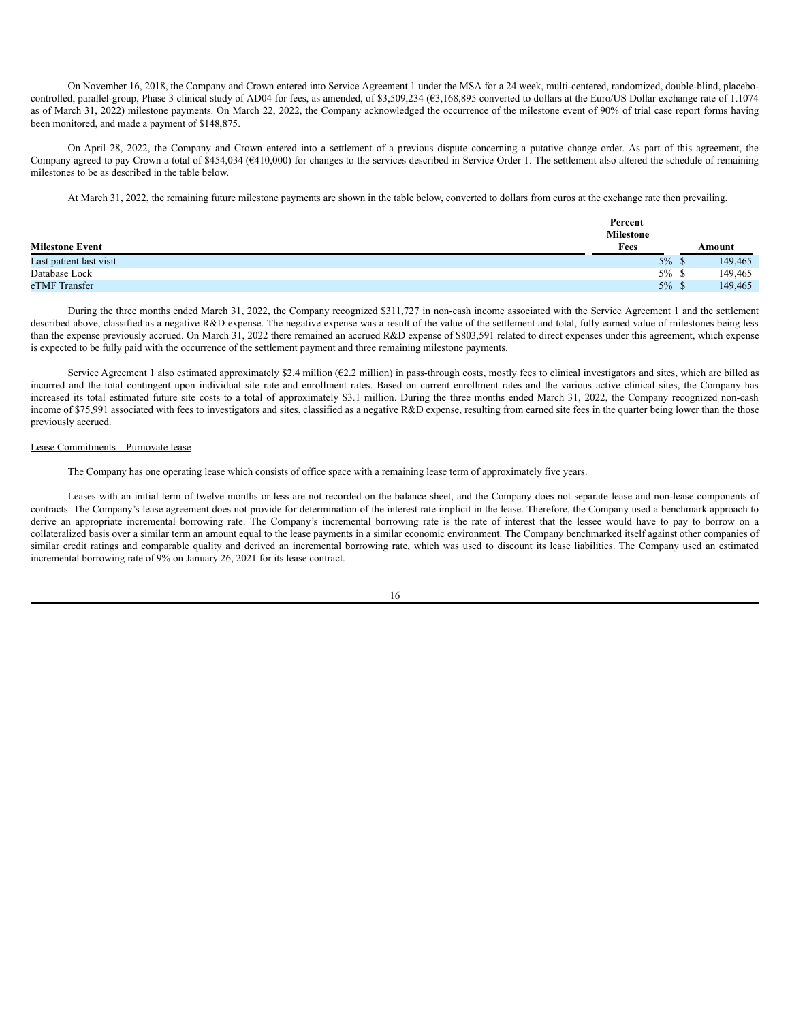On November 16, 2018, the Company and Crown entered into Service Agreement 1 under the MSA for a 24 week, multi-centered, randomized, double-blind, placebocontrolled, parallel-group, Phase 3 clinical study of AD04 for fees, as amended, of \$3,509,234 (€3,168,895 converted to dollars at the Euro/US Dollar exchange rate of 1.1074 as of March 31, 2022) milestone payments. On March 22, 2022, the Company acknowledged the occurrence of the milestone event of 90% of trial case report forms having been monitored, and made a payment of \$148,875.

On April 28, 2022, the Company and Crown entered into a settlement of a previous dispute concerning a putative change order. As part of this agreement, the Company agreed to pay Crown a total of \$454,034 ( $€410,000$ ) for changes to the services described in Service Order 1. The settlement also altered the schedule of remaining milestones to be as described in the table below.

At March 31, 2022, the remaining future milestone payments are shown in the table below, converted to dollars from euros at the exchange rate then prevailing.

|                         | Percent<br><b>Milestone</b> |         |
|-------------------------|-----------------------------|---------|
| <b>Milestone Event</b>  | Fees                        | Amount  |
| Last patient last visit | $5\%$                       | 149,465 |
| Database Lock           | $5\%$ \$                    | 149,465 |
| eTMF Transfer           | $5\%$                       | 149,465 |

During the three months ended March 31, 2022, the Company recognized \$311,727 in non-cash income associated with the Service Agreement 1 and the settlement described above, classified as a negative R&D expense. The negative expense was a result of the value of the settlement and total, fully earned value of milestones being less than the expense previously accrued. On March 31, 2022 there remained an accrued R&D expense of \$803,591 related to direct expenses under this agreement, which expense is expected to be fully paid with the occurrence of the settlement payment and three remaining milestone payments.

Service Agreement 1 also estimated approximately \$2.4 million ( $E2.2$  million) in pass-through costs, mostly fees to clinical investigators and sites, which are billed as incurred and the total contingent upon individual site rate and enrollment rates. Based on current enrollment rates and the various active clinical sites, the Company has increased its total estimated future site costs to a total of approximately \$3.1 million. During the three months ended March 31, 2022, the Company recognized non-cash income of \$75,991 associated with fees to investigators and sites, classified as a negative R&D expense, resulting from earned site fees in the quarter being lower than the those previously accrued.

## Lease Commitments – Purnovate lease

The Company has one operating lease which consists of office space with a remaining lease term of approximately five years.

Leases with an initial term of twelve months or less are not recorded on the balance sheet, and the Company does not separate lease and non-lease components of contracts. The Company's lease agreement does not provide for determination of the interest rate implicit in the lease. Therefore, the Company used a benchmark approach to derive an appropriate incremental borrowing rate. The Company's incremental borrowing rate is the rate of interest that the lessee would have to pay to borrow on a collateralized basis over a similar term an amount equal to the lease payments in a similar economic environment. The Company benchmarked itself against other companies of similar credit ratings and comparable quality and derived an incremental borrowing rate, which was used to discount its lease liabilities. The Company used an estimated incremental borrowing rate of 9% on January 26, 2021 for its lease contract.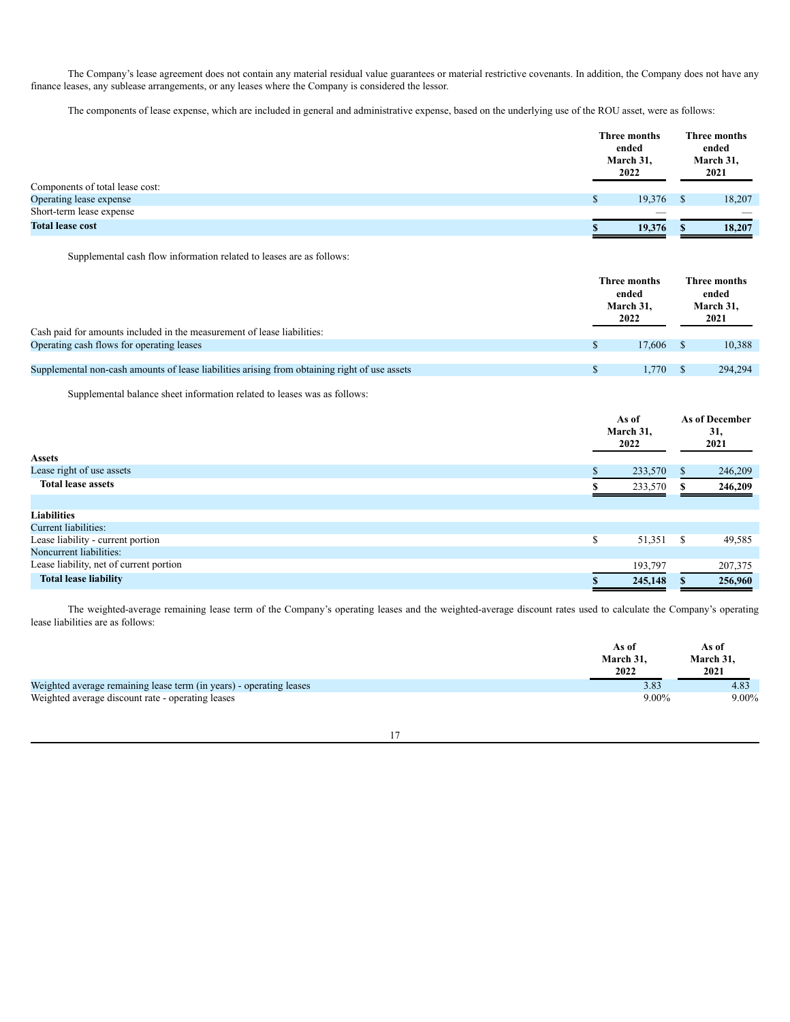The Company's lease agreement does not contain any material residual value guarantees or material restrictive covenants. In addition, the Company does not have any finance leases, any sublease arrangements, or any leases where the Company is considered the lessor.

The components of lease expense, which are included in general and administrative expense, based on the underlying use of the ROU asset, were as follows:

|                                 | Three months<br>ended<br>March 31,<br>2022 | Three months<br>ended<br>March 31,<br>2021 |
|---------------------------------|--------------------------------------------|--------------------------------------------|
| Components of total lease cost: |                                            |                                            |
| Operating lease expense         | 19,376                                     | 18,207                                     |
| Short-term lease expense        |                                            |                                            |
| <b>Total lease cost</b>         | 19,376                                     | 18,207                                     |

Supplemental cash flow information related to leases are as follows:

|                                                                                               | Three months<br>ended<br>March 31,<br>2022 | Three months<br>ended<br>March 31,<br>2021 |
|-----------------------------------------------------------------------------------------------|--------------------------------------------|--------------------------------------------|
| Cash paid for amounts included in the measurement of lease liabilities:                       |                                            |                                            |
| Operating cash flows for operating leases                                                     | 17.606                                     | 10,388                                     |
|                                                                                               |                                            |                                            |
| Supplemental non-cash amounts of lease liabilities arising from obtaining right of use assets | 1.770                                      | 294,294                                    |
|                                                                                               |                                            |                                            |

Supplemental balance sheet information related to leases was as follows:

|                                         | As of<br>March 31,<br>2022 |              | <b>As of December</b><br>31,<br>2021 |
|-----------------------------------------|----------------------------|--------------|--------------------------------------|
| <b>Assets</b>                           |                            |              |                                      |
| Lease right of use assets               | 233,570                    | S.           | 246,209                              |
| <b>Total lease assets</b>               | 233,570                    |              | 246,209                              |
|                                         |                            |              |                                      |
| <b>Liabilities</b>                      |                            |              |                                      |
| Current liabilities:                    |                            |              |                                      |
| Lease liability - current portion       | \$<br>51,351               | <sup>S</sup> | 49,585                               |
| Noncurrent liabilities:                 |                            |              |                                      |
| Lease liability, net of current portion | 193,797                    |              | 207,375                              |
| <b>Total lease liability</b>            | 245,148                    |              | 256,960                              |

The weighted-average remaining lease term of the Company's operating leases and the weighted-average discount rates used to calculate the Company's operating lease liabilities are as follows:

|                                                                     | As of<br>March 31.<br>2022 | As of<br>March 31.<br>2021 |
|---------------------------------------------------------------------|----------------------------|----------------------------|
| Weighted average remaining lease term (in years) - operating leases | 3.83                       | 4.83                       |
| Weighted average discount rate - operating leases                   | $9.00\%$                   | $9.00\%$                   |

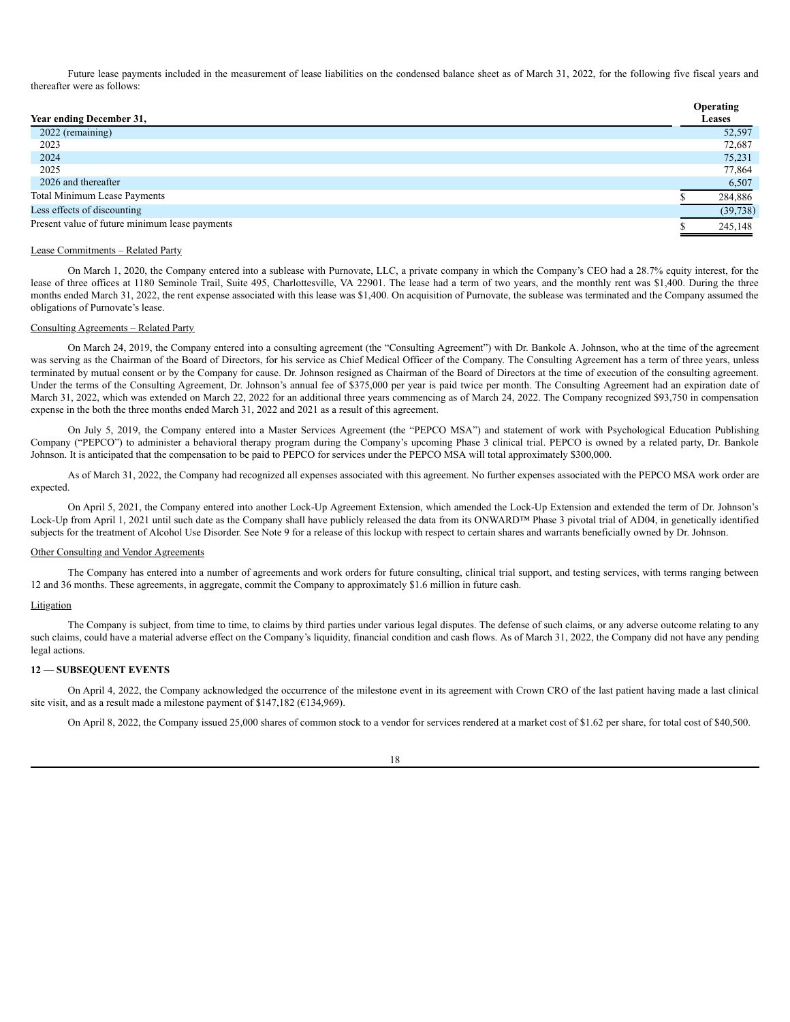Future lease payments included in the measurement of lease liabilities on the condensed balance sheet as of March 31, 2022, for the following five fiscal years and thereafter were as follows:

| Year ending December 31,                       | Operating<br>Leases |
|------------------------------------------------|---------------------|
|                                                |                     |
| 2022 (remaining)                               | 52,597              |
| 2023                                           | 72,687              |
| 2024                                           | 75,231              |
| 2025                                           | 77,864              |
| 2026 and thereafter                            | 6,507               |
| Total Minimum Lease Payments                   | 284,886             |
| Less effects of discounting                    | (39, 738)           |
| Present value of future minimum lease payments | 245,148             |
|                                                |                     |

## Lease Commitments – Related Party

On March 1, 2020, the Company entered into a sublease with Purnovate, LLC, a private company in which the Company's CEO had a 28.7% equity interest, for the lease of three offices at 1180 Seminole Trail, Suite 495, Charlottesville, VA 22901. The lease had a term of two years, and the monthly rent was \$1,400. During the three months ended March 31, 2022, the rent expense associated with this lease was \$1,400. On acquisition of Purnovate, the sublease was terminated and the Company assumed the obligations of Purnovate's lease.

#### Consulting Agreements – Related Party

On March 24, 2019, the Company entered into a consulting agreement (the "Consulting Agreement") with Dr. Bankole A. Johnson, who at the time of the agreement was serving as the Chairman of the Board of Directors, for his service as Chief Medical Officer of the Company. The Consulting Agreement has a term of three years, unless terminated by mutual consent or by the Company for cause. Dr. Johnson resigned as Chairman of the Board of Directors at the time of execution of the consulting agreement. Under the terms of the Consulting Agreement, Dr. Johnson's annual fee of \$375,000 per year is paid twice per month. The Consulting Agreement had an expiration date of March 31, 2022, which was extended on March 22, 2022 for an additional three years commencing as of March 24, 2022. The Company recognized \$93,750 in compensation expense in the both the three months ended March 31, 2022 and 2021 as a result of this agreement.

On July 5, 2019, the Company entered into a Master Services Agreement (the "PEPCO MSA") and statement of work with Psychological Education Publishing Company ("PEPCO") to administer a behavioral therapy program during the Company's upcoming Phase 3 clinical trial. PEPCO is owned by a related party, Dr. Bankole Johnson. It is anticipated that the compensation to be paid to PEPCO for services under the PEPCO MSA will total approximately \$300,000.

As of March 31, 2022, the Company had recognized all expenses associated with this agreement. No further expenses associated with the PEPCO MSA work order are expected.

On April 5, 2021, the Company entered into another Lock-Up Agreement Extension, which amended the Lock-Up Extension and extended the term of Dr. Johnson's Lock-Up from April 1, 2021 until such date as the Company shall have publicly released the data from its ONWARD™ Phase 3 pivotal trial of AD04, in genetically identified subjects for the treatment of Alcohol Use Disorder. See Note 9 for a release of this lockup with respect to certain shares and warrants beneficially owned by Dr. Johnson.

## Other Consulting and Vendor Agreements

The Company has entered into a number of agreements and work orders for future consulting, clinical trial support, and testing services, with terms ranging between 12 and 36 months. These agreements, in aggregate, commit the Company to approximately \$1.6 million in future cash.

#### **Litigation**

The Company is subject, from time to time, to claims by third parties under various legal disputes. The defense of such claims, or any adverse outcome relating to any such claims, could have a material adverse effect on the Company's liquidity, financial condition and cash flows. As of March 31, 2022, the Company did not have any pending legal actions.

## **12 — SUBSEQUENT EVENTS**

On April 4, 2022, the Company acknowledged the occurrence of the milestone event in its agreement with Crown CRO of the last patient having made a last clinical site visit, and as a result made a milestone payment of \$147,182 (€134,969).

On April 8, 2022, the Company issued 25,000 shares of common stock to a vendor for services rendered at a market cost of \$1.62 per share, for total cost of \$40,500.

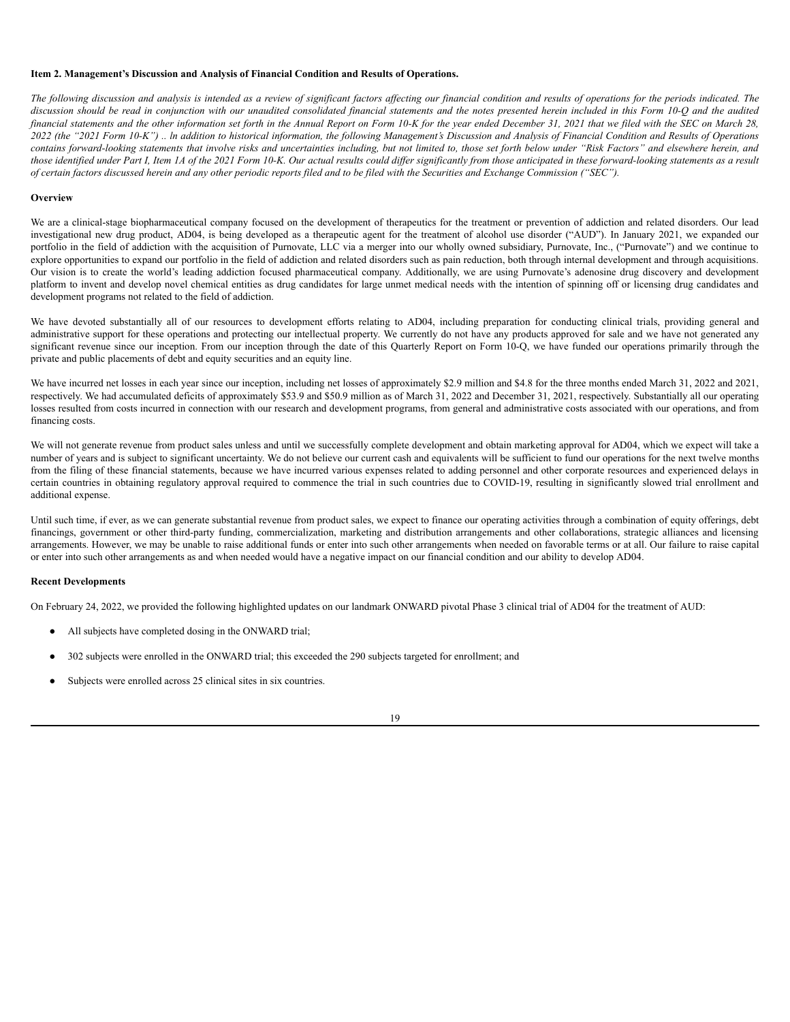### <span id="page-21-0"></span>**Item 2. Management's Discussion and Analysis of Financial Condition and Results of Operations.**

The following discussion and analysis is intended as a review of significant factors affecting our financial condition and results of operations for the periods indicated. The discussion should be read in conjunction with our unaudited consolidated financial statements and the notes presented herein included in this Form 10-O and the audited financial statements and the other information set forth in the Annual Report on Form 10-K for the year ended December 31, 2021 that we filed with the SEC on March 28, 2022 (the "2021 Form 10-K") .. In addition to historical information, the following Management's Discussion and Analysis of Financial Condition and Results of Operations contains forward-looking statements that involve risks and uncertainties including, but not limited to, those set forth below under "Risk Factors" and elsewhere herein, and those identified under Part I, Item 1A of the 2021 Form 10-K. Our actual results could differ significantly from those anticipated in these forward-looking statements as a result of certain factors discussed herein and any other periodic reports filed and to be filed with the Securities and Exchange Commission ("SEC").

#### **Overview**

We are a clinical-stage biopharmaceutical company focused on the development of therapeutics for the treatment or prevention of addiction and related disorders. Our lead investigational new drug product, AD04, is being developed as a therapeutic agent for the treatment of alcohol use disorder ("AUD"). In January 2021, we expanded our portfolio in the field of addiction with the acquisition of Purnovate, LLC via a merger into our wholly owned subsidiary, Purnovate, Inc., ("Purnovate") and we continue to explore opportunities to expand our portfolio in the field of addiction and related disorders such as pain reduction, both through internal development and through acquisitions. Our vision is to create the world's leading addiction focused pharmaceutical company. Additionally, we are using Purnovate's adenosine drug discovery and development platform to invent and develop novel chemical entities as drug candidates for large unmet medical needs with the intention of spinning off or licensing drug candidates and development programs not related to the field of addiction.

We have devoted substantially all of our resources to development efforts relating to AD04, including preparation for conducting clinical trials, providing general and administrative support for these operations and protecting our intellectual property. We currently do not have any products approved for sale and we have not generated any significant revenue since our inception. From our inception through the date of this Quarterly Report on Form 10-Q, we have funded our operations primarily through the private and public placements of debt and equity securities and an equity line.

We have incurred net losses in each year since our inception, including net losses of approximately \$2.9 million and \$4.8 for the three months ended March 31, 2022 and 2021, respectively. We had accumulated deficits of approximately \$53.9 and \$50.9 million as of March 31, 2022 and December 31, 2021, respectively. Substantially all our operating losses resulted from costs incurred in connection with our research and development programs, from general and administrative costs associated with our operations, and from financing costs.

We will not generate revenue from product sales unless and until we successfully complete development and obtain marketing approval for AD04, which we expect will take a number of years and is subject to significant uncertainty. We do not believe our current cash and equivalents will be sufficient to fund our operations for the next twelve months from the filing of these financial statements, because we have incurred various expenses related to adding personnel and other corporate resources and experienced delays in certain countries in obtaining regulatory approval required to commence the trial in such countries due to COVID-19, resulting in significantly slowed trial enrollment and additional expense.

Until such time, if ever, as we can generate substantial revenue from product sales, we expect to finance our operating activities through a combination of equity offerings, debt financings, government or other third-party funding, commercialization, marketing and distribution arrangements and other collaborations, strategic alliances and licensing arrangements. However, we may be unable to raise additional funds or enter into such other arrangements when needed on favorable terms or at all. Our failure to raise capital or enter into such other arrangements as and when needed would have a negative impact on our financial condition and our ability to develop AD04.

## **Recent Developments**

On February 24, 2022, we provided the following highlighted updates on our landmark ONWARD pivotal Phase 3 clinical trial of AD04 for the treatment of AUD:

- All subjects have completed dosing in the ONWARD trial;
- 302 subjects were enrolled in the ONWARD trial; this exceeded the 290 subjects targeted for enrollment; and
- Subjects were enrolled across 25 clinical sites in six countries.

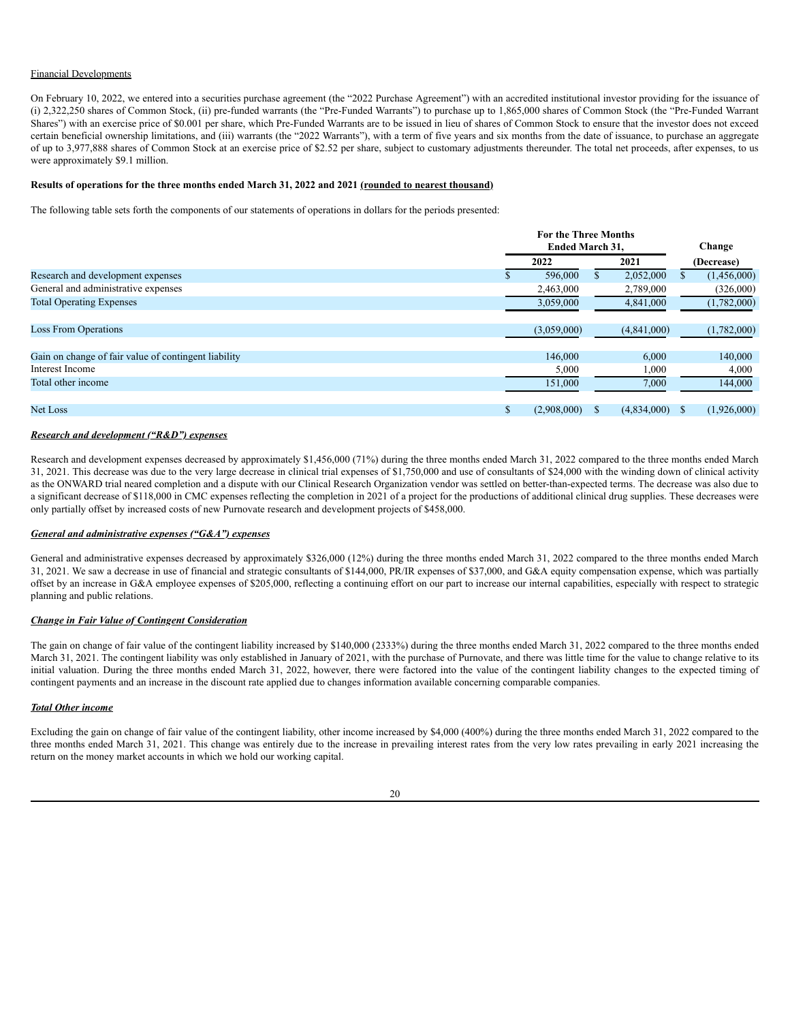#### Financial Developments

On February 10, 2022, we entered into a securities purchase agreement (the "2022 Purchase Agreement") with an accredited institutional investor providing for the issuance of (i) 2,322,250 shares of Common Stock, (ii) pre-funded warrants (the "Pre-Funded Warrants") to purchase up to 1,865,000 shares of Common Stock (the "Pre-Funded Warrant Shares") with an exercise price of \$0.001 per share, which Pre-Funded Warrants are to be issued in lieu of shares of Common Stock to ensure that the investor does not exceed certain beneficial ownership limitations, and (iii) warrants (the "2022 Warrants"), with a term of five years and six months from the date of issuance, to purchase an aggregate of up to 3,977,888 shares of Common Stock at an exercise price of \$2.52 per share, subject to customary adjustments thereunder. The total net proceeds, after expenses, to us were approximately \$9.1 million.

## **Results of operations for the three months ended March 31, 2022 and 2021 (rounded to nearest thousand)**

The following table sets forth the components of our statements of operations in dollars for the periods presented:

|                                                      |             | <b>For the Three Months</b><br><b>Ended March 31,</b> |             |  | Change      |  |
|------------------------------------------------------|-------------|-------------------------------------------------------|-------------|--|-------------|--|
|                                                      | 2022        |                                                       | 2021        |  | (Decrease)  |  |
| Research and development expenses                    | 596,000     | S                                                     | 2,052,000   |  | (1,456,000) |  |
| General and administrative expenses                  | 2,463,000   |                                                       | 2,789,000   |  | (326,000)   |  |
| <b>Total Operating Expenses</b>                      | 3,059,000   |                                                       | 4,841,000   |  | (1,782,000) |  |
| <b>Loss From Operations</b>                          | (3,059,000) |                                                       | (4,841,000) |  | (1,782,000) |  |
| Gain on change of fair value of contingent liability | 146,000     |                                                       | 6,000       |  | 140,000     |  |
| Interest Income                                      | 5,000       |                                                       | 1,000       |  | 4,000       |  |
| Total other income                                   | 151,000     |                                                       | 7,000       |  | 144,000     |  |
| <b>Net Loss</b>                                      | (2,908,000) |                                                       | (4,834,000) |  | (1,926,000) |  |

#### *Research and development ("R&D") expenses*

Research and development expenses decreased by approximately \$1,456,000 (71%) during the three months ended March 31, 2022 compared to the three months ended March 31, 2021. This decrease was due to the very large decrease in clinical trial expenses of \$1,750,000 and use of consultants of \$24,000 with the winding down of clinical activity as the ONWARD trial neared completion and a dispute with our Clinical Research Organization vendor was settled on better-than-expected terms. The decrease was also due to a significant decrease of \$118,000 in CMC expenses reflecting the completion in 2021 of a project for the productions of additional clinical drug supplies. These decreases were only partially offset by increased costs of new Purnovate research and development projects of \$458,000.

#### *General and administrative expenses ("G&A") expenses*

General and administrative expenses decreased by approximately \$326,000 (12%) during the three months ended March 31, 2022 compared to the three months ended March 31, 2021. We saw a decrease in use of financial and strategic consultants of \$144,000, PR/IR expenses of \$37,000, and G&A equity compensation expense, which was partially offset by an increase in G&A employee expenses of \$205,000, reflecting a continuing effort on our part to increase our internal capabilities, especially with respect to strategic planning and public relations.

## *Change in Fair Value of Contingent Consideration*

The gain on change of fair value of the contingent liability increased by \$140,000 (2333%) during the three months ended March 31, 2022 compared to the three months ended March 31, 2021. The contingent liability was only established in January of 2021, with the purchase of Purnovate, and there was little time for the value to change relative to its initial valuation. During the three months ended March 31, 2022, however, there were factored into the value of the contingent liability changes to the expected timing of contingent payments and an increase in the discount rate applied due to changes information available concerning comparable companies.

## *Total Other income*

Excluding the gain on change of fair value of the contingent liability, other income increased by \$4,000 (400%) during the three months ended March 31, 2022 compared to the three months ended March 31, 2021. This change was entirely due to the increase in prevailing interest rates from the very low rates prevailing in early 2021 increasing the return on the money market accounts in which we hold our working capital.

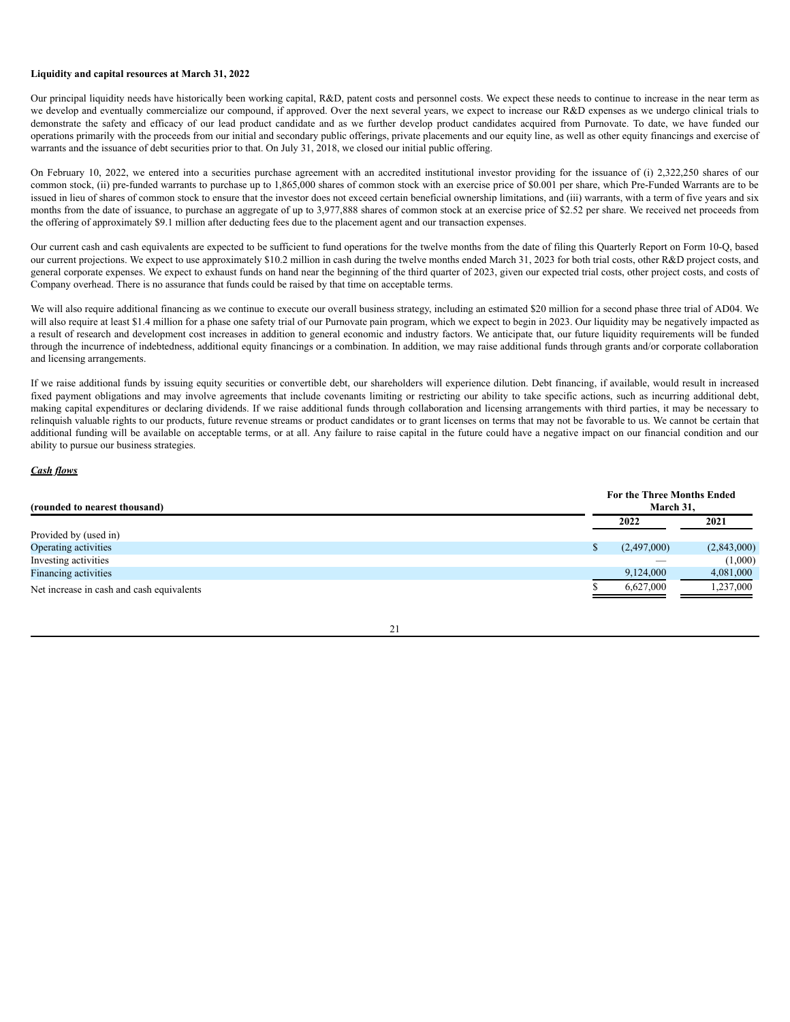#### **Liquidity and capital resources at March 31, 2022**

Our principal liquidity needs have historically been working capital, R&D, patent costs and personnel costs. We expect these needs to continue to increase in the near term as we develop and eventually commercialize our compound, if approved. Over the next several years, we expect to increase our R&D expenses as we undergo clinical trials to demonstrate the safety and efficacy of our lead product candidate and as we further develop product candidates acquired from Purnovate. To date, we have funded our operations primarily with the proceeds from our initial and secondary public offerings, private placements and our equity line, as well as other equity financings and exercise of warrants and the issuance of debt securities prior to that. On July 31, 2018, we closed our initial public offering.

On February 10, 2022, we entered into a securities purchase agreement with an accredited institutional investor providing for the issuance of (i) 2,322,250 shares of our common stock, (ii) pre-funded warrants to purchase up to 1,865,000 shares of common stock with an exercise price of \$0.001 per share, which Pre-Funded Warrants are to be issued in lieu of shares of common stock to ensure that the investor does not exceed certain beneficial ownership limitations, and (iii) warrants, with a term of five years and six months from the date of issuance, to purchase an aggregate of up to 3,977,888 shares of common stock at an exercise price of \$2.52 per share. We received net proceeds from the offering of approximately \$9.1 million after deducting fees due to the placement agent and our transaction expenses.

Our current cash and cash equivalents are expected to be sufficient to fund operations for the twelve months from the date of filing this Quarterly Report on Form 10-Q, based our current projections. We expect to use approximately \$10.2 million in cash during the twelve months ended March 31, 2023 for both trial costs, other R&D project costs, and general corporate expenses. We expect to exhaust funds on hand near the beginning of the third quarter of 2023, given our expected trial costs, other project costs, and costs of Company overhead. There is no assurance that funds could be raised by that time on acceptable terms.

We will also require additional financing as we continue to execute our overall business strategy, including an estimated \$20 million for a second phase three trial of AD04. We will also require at least \$1.4 million for a phase one safety trial of our Purnovate pain program, which we expect to begin in 2023. Our liquidity may be negatively impacted as a result of research and development cost increases in addition to general economic and industry factors. We anticipate that, our future liquidity requirements will be funded through the incurrence of indebtedness, additional equity financings or a combination. In addition, we may raise additional funds through grants and/or corporate collaboration and licensing arrangements.

If we raise additional funds by issuing equity securities or convertible debt, our shareholders will experience dilution. Debt financing, if available, would result in increased fixed payment obligations and may involve agreements that include covenants limiting or restricting our ability to take specific actions, such as incurring additional debt, making capital expenditures or declaring dividends. If we raise additional funds through collaboration and licensing arrangements with third parties, it may be necessary to relinquish valuable rights to our products, future revenue streams or product candidates or to grant licenses on terms that may not be favorable to us. We cannot be certain that additional funding will be available on acceptable terms, or at all. Any failure to raise capital in the future could have a negative impact on our financial condition and our ability to pursue our business strategies.

## *Cash flows*

| (rounded to nearest thousand)             |  | <b>For the Three Months Ended</b><br>March 31. |             |  |  |  |  |
|-------------------------------------------|--|------------------------------------------------|-------------|--|--|--|--|
|                                           |  | 2022                                           | 2021        |  |  |  |  |
| Provided by (used in)                     |  |                                                |             |  |  |  |  |
| Operating activities                      |  | (2,497,000)                                    | (2,843,000) |  |  |  |  |
| Investing activities                      |  |                                                | (1,000)     |  |  |  |  |
| Financing activities                      |  | 9.124,000                                      | 4,081,000   |  |  |  |  |
| Net increase in cash and cash equivalents |  | 6,627,000                                      | 1,237,000   |  |  |  |  |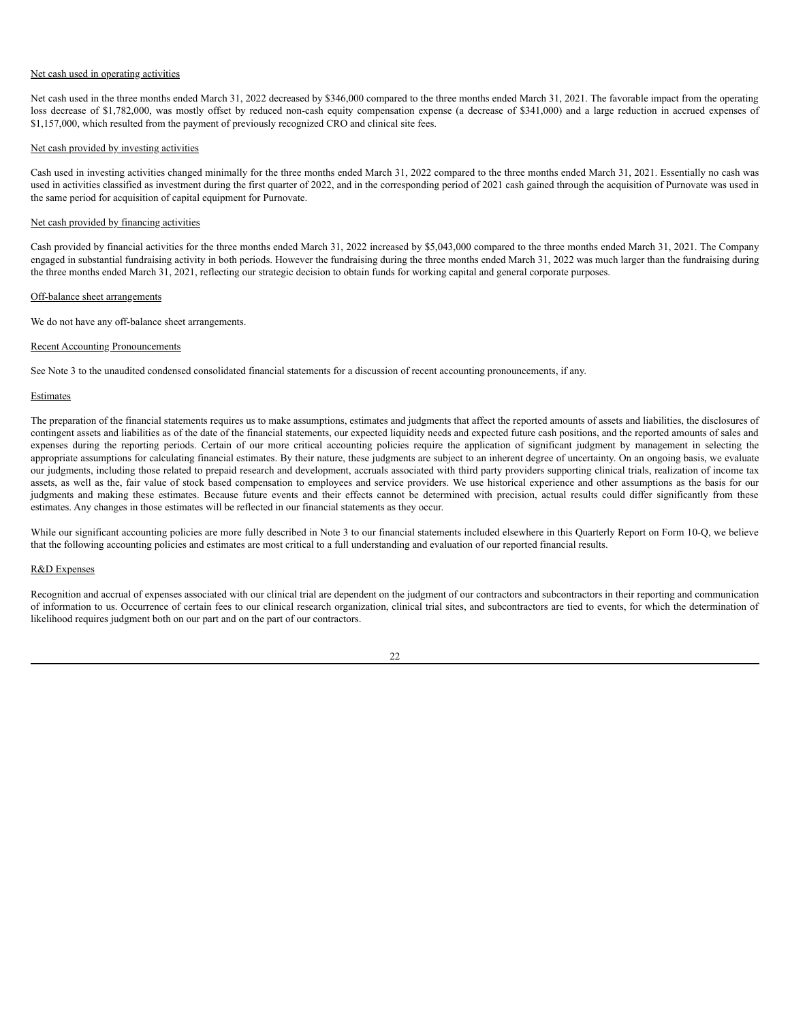#### Net cash used in operating activities

Net cash used in the three months ended March 31, 2022 decreased by \$346,000 compared to the three months ended March 31, 2021. The favorable impact from the operating loss decrease of \$1,782,000, was mostly offset by reduced non-cash equity compensation expense (a decrease of \$341,000) and a large reduction in accrued expenses of \$1,157,000, which resulted from the payment of previously recognized CRO and clinical site fees.

#### Net cash provided by investing activities

Cash used in investing activities changed minimally for the three months ended March 31, 2022 compared to the three months ended March 31, 2021. Essentially no cash was used in activities classified as investment during the first quarter of 2022, and in the corresponding period of 2021 cash gained through the acquisition of Purnovate was used in the same period for acquisition of capital equipment for Purnovate.

### Net cash provided by financing activities

Cash provided by financial activities for the three months ended March 31, 2022 increased by \$5,043,000 compared to the three months ended March 31, 2021. The Company engaged in substantial fundraising activity in both periods. However the fundraising during the three months ended March 31, 2022 was much larger than the fundraising during the three months ended March 31, 2021, reflecting our strategic decision to obtain funds for working capital and general corporate purposes.

### Off-balance sheet arrangements

We do not have any off-balance sheet arrangements.

#### Recent Accounting Pronouncements

See Note 3 to the unaudited condensed consolidated financial statements for a discussion of recent accounting pronouncements, if any.

### Estimates

The preparation of the financial statements requires us to make assumptions, estimates and judgments that affect the reported amounts of assets and liabilities, the disclosures of contingent assets and liabilities as of the date of the financial statements, our expected liquidity needs and expected future cash positions, and the reported amounts of sales and expenses during the reporting periods. Certain of our more critical accounting policies require the application of significant judgment by management in selecting the appropriate assumptions for calculating financial estimates. By their nature, these judgments are subject to an inherent degree of uncertainty. On an ongoing basis, we evaluate our judgments, including those related to prepaid research and development, accruals associated with third party providers supporting clinical trials, realization of income tax assets, as well as the, fair value of stock based compensation to employees and service providers. We use historical experience and other assumptions as the basis for our judgments and making these estimates. Because future events and their effects cannot be determined with precision, actual results could differ significantly from these estimates. Any changes in those estimates will be reflected in our financial statements as they occur.

While our significant accounting policies are more fully described in Note 3 to our financial statements included elsewhere in this Quarterly Report on Form 10-Q, we believe that the following accounting policies and estimates are most critical to a full understanding and evaluation of our reported financial results.

## R&D Expenses

Recognition and accrual of expenses associated with our clinical trial are dependent on the judgment of our contractors and subcontractors in their reporting and communication of information to us. Occurrence of certain fees to our clinical research organization, clinical trial sites, and subcontractors are tied to events, for which the determination of likelihood requires judgment both on our part and on the part of our contractors.

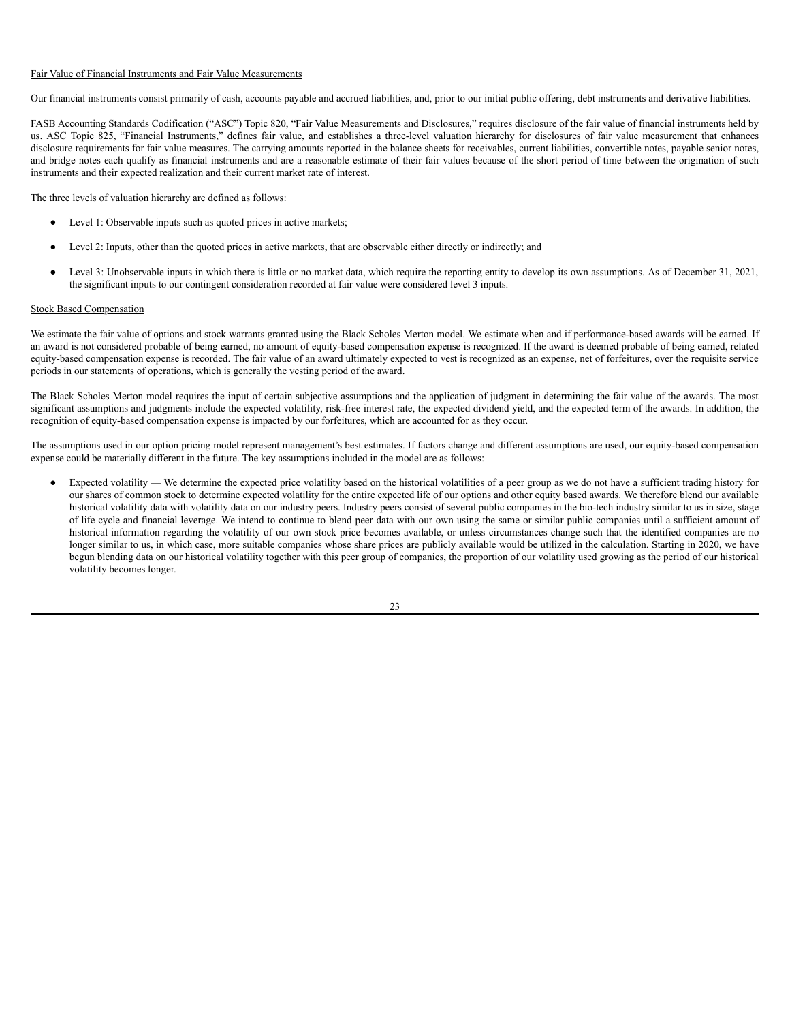#### Fair Value of Financial Instruments and Fair Value Measurements

Our financial instruments consist primarily of cash, accounts payable and accrued liabilities, and, prior to our initial public offering, debt instruments and derivative liabilities.

FASB Accounting Standards Codification ("ASC") Topic 820, "Fair Value Measurements and Disclosures," requires disclosure of the fair value of financial instruments held by us. ASC Topic 825, "Financial Instruments," defines fair value, and establishes a three-level valuation hierarchy for disclosures of fair value measurement that enhances disclosure requirements for fair value measures. The carrying amounts reported in the balance sheets for receivables, current liabilities, convertible notes, payable senior notes, and bridge notes each qualify as financial instruments and are a reasonable estimate of their fair values because of the short period of time between the origination of such instruments and their expected realization and their current market rate of interest.

The three levels of valuation hierarchy are defined as follows:

- Level 1: Observable inputs such as quoted prices in active markets;
- Level 2: Inputs, other than the quoted prices in active markets, that are observable either directly or indirectly; and
- Level 3: Unobservable inputs in which there is little or no market data, which require the reporting entity to develop its own assumptions. As of December 31, 2021, the significant inputs to our contingent consideration recorded at fair value were considered level 3 inputs.

#### Stock Based Compensation

We estimate the fair value of options and stock warrants granted using the Black Scholes Merton model. We estimate when and if performance-based awards will be earned. If an award is not considered probable of being earned, no amount of equity-based compensation expense is recognized. If the award is deemed probable of being earned, related equity-based compensation expense is recorded. The fair value of an award ultimately expected to vest is recognized as an expense, net of forfeitures, over the requisite service periods in our statements of operations, which is generally the vesting period of the award.

The Black Scholes Merton model requires the input of certain subjective assumptions and the application of judgment in determining the fair value of the awards. The most significant assumptions and judgments include the expected volatility, risk-free interest rate, the expected dividend yield, and the expected term of the awards. In addition, the recognition of equity-based compensation expense is impacted by our forfeitures, which are accounted for as they occur.

The assumptions used in our option pricing model represent management's best estimates. If factors change and different assumptions are used, our equity-based compensation expense could be materially different in the future. The key assumptions included in the model are as follows:

Expected volatility — We determine the expected price volatility based on the historical volatilities of a peer group as we do not have a sufficient trading history for our shares of common stock to determine expected volatility for the entire expected life of our options and other equity based awards. We therefore blend our available historical volatility data with volatility data on our industry peers. Industry peers consist of several public companies in the bio-tech industry similar to us in size, stage of life cycle and financial leverage. We intend to continue to blend peer data with our own using the same or similar public companies until a sufficient amount of historical information regarding the volatility of our own stock price becomes available, or unless circumstances change such that the identified companies are no longer similar to us, in which case, more suitable companies whose share prices are publicly available would be utilized in the calculation. Starting in 2020, we have begun blending data on our historical volatility together with this peer group of companies, the proportion of our volatility used growing as the period of our historical volatility becomes longer.

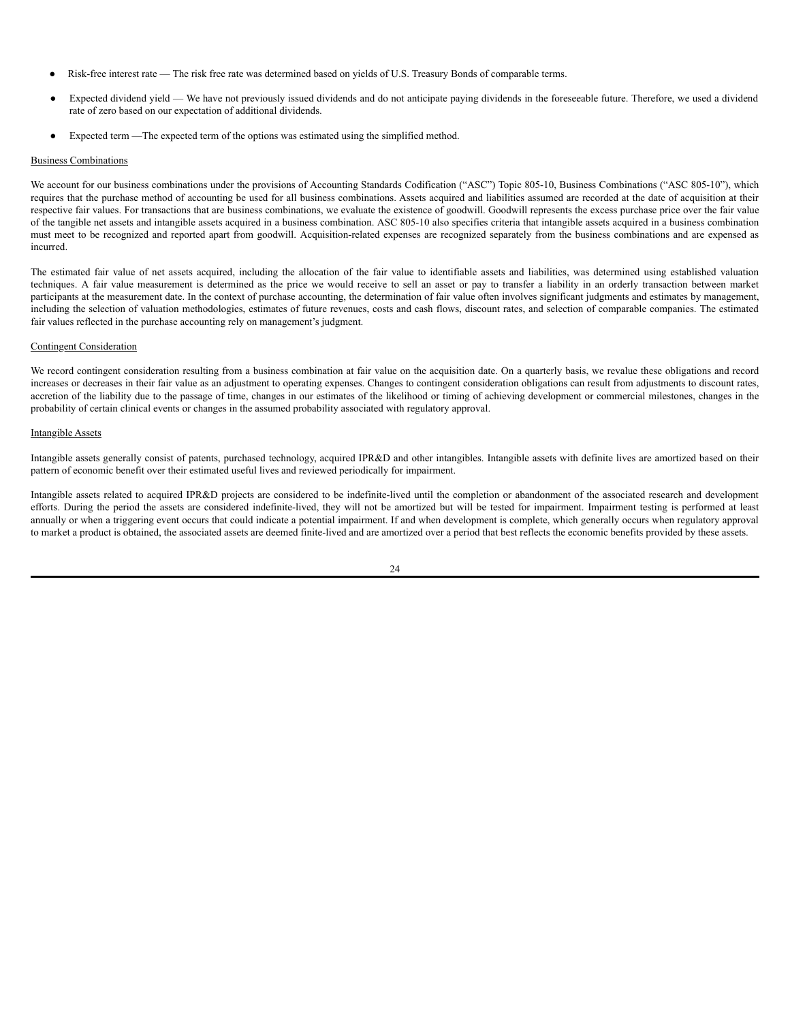- Risk-free interest rate The risk free rate was determined based on yields of U.S. Treasury Bonds of comparable terms.
- Expected dividend yield We have not previously issued dividends and do not anticipate paying dividends in the foreseeable future. Therefore, we used a dividend rate of zero based on our expectation of additional dividends.
- Expected term —The expected term of the options was estimated using the simplified method.

## Business Combinations

We account for our business combinations under the provisions of Accounting Standards Codification ("ASC") Topic 805-10, Business Combinations ("ASC 805-10"), which requires that the purchase method of accounting be used for all business combinations. Assets acquired and liabilities assumed are recorded at the date of acquisition at their respective fair values. For transactions that are business combinations, we evaluate the existence of goodwill. Goodwill represents the excess purchase price over the fair value of the tangible net assets and intangible assets acquired in a business combination. ASC 805-10 also specifies criteria that intangible assets acquired in a business combination must meet to be recognized and reported apart from goodwill. Acquisition-related expenses are recognized separately from the business combinations and are expensed as incurred.

The estimated fair value of net assets acquired, including the allocation of the fair value to identifiable assets and liabilities, was determined using established valuation techniques. A fair value measurement is determined as the price we would receive to sell an asset or pay to transfer a liability in an orderly transaction between market participants at the measurement date. In the context of purchase accounting, the determination of fair value often involves significant judgments and estimates by management, including the selection of valuation methodologies, estimates of future revenues, costs and cash flows, discount rates, and selection of comparable companies. The estimated fair values reflected in the purchase accounting rely on management's judgment.

## Contingent Consideration

We record contingent consideration resulting from a business combination at fair value on the acquisition date. On a quarterly basis, we revalue these obligations and record increases or decreases in their fair value as an adjustment to operating expenses. Changes to contingent consideration obligations can result from adjustments to discount rates, accretion of the liability due to the passage of time, changes in our estimates of the likelihood or timing of achieving development or commercial milestones, changes in the probability of certain clinical events or changes in the assumed probability associated with regulatory approval.

## Intangible Assets

Intangible assets generally consist of patents, purchased technology, acquired IPR&D and other intangibles. Intangible assets with definite lives are amortized based on their pattern of economic benefit over their estimated useful lives and reviewed periodically for impairment.

Intangible assets related to acquired IPR&D projects are considered to be indefinite-lived until the completion or abandonment of the associated research and development efforts. During the period the assets are considered indefinite-lived, they will not be amortized but will be tested for impairment. Impairment testing is performed at least annually or when a triggering event occurs that could indicate a potential impairment. If and when development is complete, which generally occurs when regulatory approval to market a product is obtained, the associated assets are deemed finite-lived and are amortized over a period that best reflects the economic benefits provided by these assets.

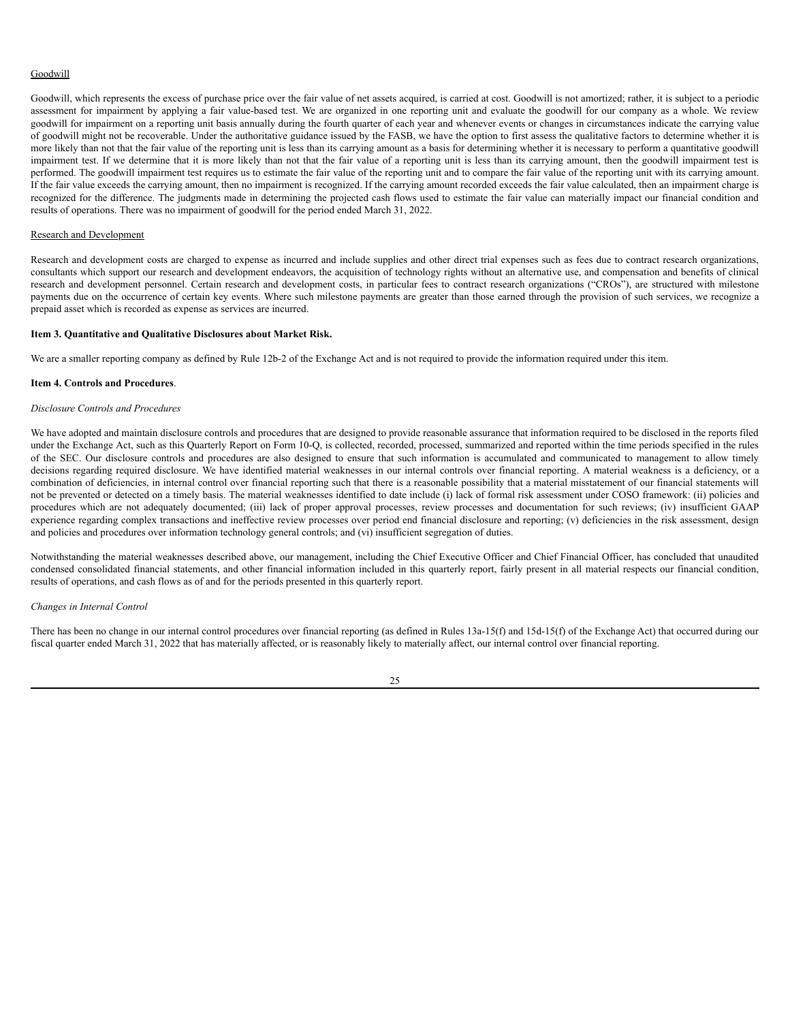### Goodwill

Goodwill, which represents the excess of purchase price over the fair value of net assets acquired, is carried at cost. Goodwill is not amortized; rather, it is subject to a periodic assessment for impairment by applying a fair value-based test. We are organized in one reporting unit and evaluate the goodwill for our company as a whole. We review goodwill for impairment on a reporting unit basis annually during the fourth quarter of each year and whenever events or changes in circumstances indicate the carrying value of goodwill might not be recoverable. Under the authoritative guidance issued by the FASB, we have the option to first assess the qualitative factors to determine whether it is more likely than not that the fair value of the reporting unit is less than its carrying amount as a basis for determining whether it is necessary to perform a quantitative goodwill impairment test. If we determine that it is more likely than not that the fair value of a reporting unit is less than its carrying amount, then the goodwill impairment test is performed. The goodwill impairment test requires us to estimate the fair value of the reporting unit and to compare the fair value of the reporting unit with its carrying amount. If the fair value exceeds the carrying amount, then no impairment is recognized. If the carrying amount recorded exceeds the fair value calculated, then an impairment charge is recognized for the difference. The judgments made in determining the projected cash flows used to estimate the fair value can materially impact our financial condition and results of operations. There was no impairment of goodwill for the period ended March 31, 2022.

## Research and Development

Research and development costs are charged to expense as incurred and include supplies and other direct trial expenses such as fees due to contract research organizations, consultants which support our research and development endeavors, the acquisition of technology rights without an alternative use, and compensation and benefits of clinical research and development personnel. Certain research and development costs, in particular fees to contract research organizations ("CROs"), are structured with milestone payments due on the occurrence of certain key events. Where such milestone payments are greater than those earned through the provision of such services, we recognize a prepaid asset which is recorded as expense as services are incurred.

## <span id="page-27-0"></span>**Item 3. Quantitative and Qualitative Disclosures about Market Risk.**

We are a smaller reporting company as defined by Rule 12b-2 of the Exchange Act and is not required to provide the information required under this item.

#### <span id="page-27-1"></span>**Item 4. Controls and Procedures**.

#### *Disclosure Controls and Procedures*

We have adopted and maintain disclosure controls and procedures that are designed to provide reasonable assurance that information required to be disclosed in the reports filed under the Exchange Act, such as this Quarterly Report on Form 10-Q, is collected, recorded, processed, summarized and reported within the time periods specified in the rules of the SEC. Our disclosure controls and procedures are also designed to ensure that such information is accumulated and communicated to management to allow timely decisions regarding required disclosure. We have identified material weaknesses in our internal controls over financial reporting. A material weakness is a deficiency, or a combination of deficiencies, in internal control over financial reporting such that there is a reasonable possibility that a material misstatement of our financial statements will not be prevented or detected on a timely basis. The material weaknesses identified to date include (i) lack of formal risk assessment under COSO framework: (ii) policies and procedures which are not adequately documented; (iii) lack of proper approval processes, review processes and documentation for such reviews; (iv) insufficient GAAP experience regarding complex transactions and ineffective review processes over period end financial disclosure and reporting; (v) deficiencies in the risk assessment, design and policies and procedures over information technology general controls; and (vi) insufficient segregation of duties.

Notwithstanding the material weaknesses described above, our management, including the Chief Executive Officer and Chief Financial Officer, has concluded that unaudited condensed consolidated financial statements, and other financial information included in this quarterly report, fairly present in all material respects our financial condition, results of operations, and cash flows as of and for the periods presented in this quarterly report.

## *Changes in Internal Control*

There has been no change in our internal control procedures over financial reporting (as defined in Rules 13a-15(f) and 15d-15(f) of the Exchange Act) that occurred during our fiscal quarter ended March 31, 2022 that has materially affected, or is reasonably likely to materially affect, our internal control over financial reporting.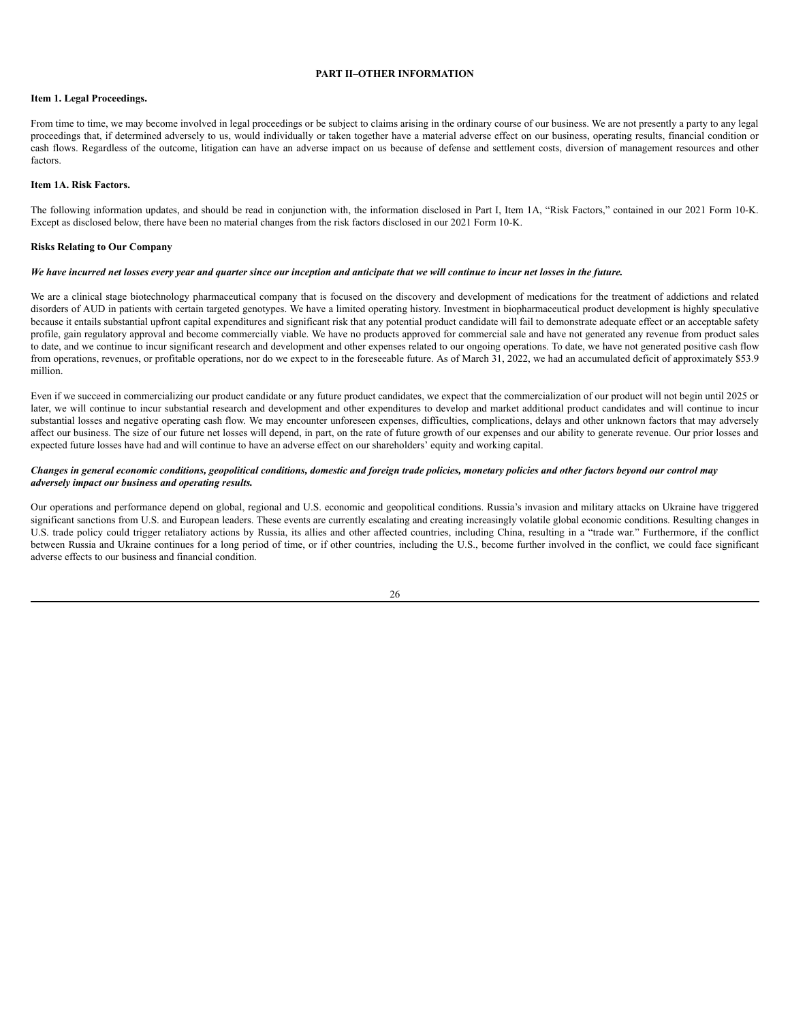# **PART II–OTHER INFORMATION**

### <span id="page-28-1"></span><span id="page-28-0"></span>**Item 1. Legal Proceedings.**

From time to time, we may become involved in legal proceedings or be subject to claims arising in the ordinary course of our business. We are not presently a party to any legal proceedings that, if determined adversely to us, would individually or taken together have a material adverse effect on our business, operating results, financial condition or cash flows. Regardless of the outcome, litigation can have an adverse impact on us because of defense and settlement costs, diversion of management resources and other factors.

## <span id="page-28-2"></span>**Item 1A. Risk Factors.**

The following information updates, and should be read in conjunction with, the information disclosed in Part I, Item 1A, "Risk Factors," contained in our 2021 Form 10-K. Except as disclosed below, there have been no material changes from the risk factors disclosed in our 2021 Form 10-K.

## **Risks Relating to Our Company**

#### We have incurred net losses every year and quarter since our inception and anticipate that we will continue to incur net losses in the future.

We are a clinical stage biotechnology pharmaceutical company that is focused on the discovery and development of medications for the treatment of addictions and related disorders of AUD in patients with certain targeted genotypes. We have a limited operating history. Investment in biopharmaceutical product development is highly speculative because it entails substantial upfront capital expenditures and significant risk that any potential product candidate will fail to demonstrate adequate effect or an acceptable safety profile, gain regulatory approval and become commercially viable. We have no products approved for commercial sale and have not generated any revenue from product sales to date, and we continue to incur significant research and development and other expenses related to our ongoing operations. To date, we have not generated positive cash flow from operations, revenues, or profitable operations, nor do we expect to in the foreseeable future. As of March 31, 2022, we had an accumulated deficit of approximately \$53.9 million.

Even if we succeed in commercializing our product candidate or any future product candidates, we expect that the commercialization of our product will not begin until 2025 or later, we will continue to incur substantial research and development and other expenditures to develop and market additional product candidates and will continue to incur substantial losses and negative operating cash flow. We may encounter unforeseen expenses, difficulties, complications, delays and other unknown factors that may adversely affect our business. The size of our future net losses will depend, in part, on the rate of future growth of our expenses and our ability to generate revenue. Our prior losses and expected future losses have had and will continue to have an adverse effect on our shareholders' equity and working capital.

## Changes in general economic conditions, geopolitical conditions, domestic and foreign trade policies, monetary policies and other factors beyond our control may *adversely impact our business and operating results.*

Our operations and performance depend on global, regional and U.S. economic and geopolitical conditions. Russia's invasion and military attacks on Ukraine have triggered significant sanctions from U.S. and European leaders. These events are currently escalating and creating increasingly volatile global economic conditions. Resulting changes in U.S. trade policy could trigger retaliatory actions by Russia, its allies and other affected countries, including China, resulting in a "trade war." Furthermore, if the conflict between Russia and Ukraine continues for a long period of time, or if other countries, including the U.S., become further involved in the conflict, we could face significant adverse effects to our business and financial condition.

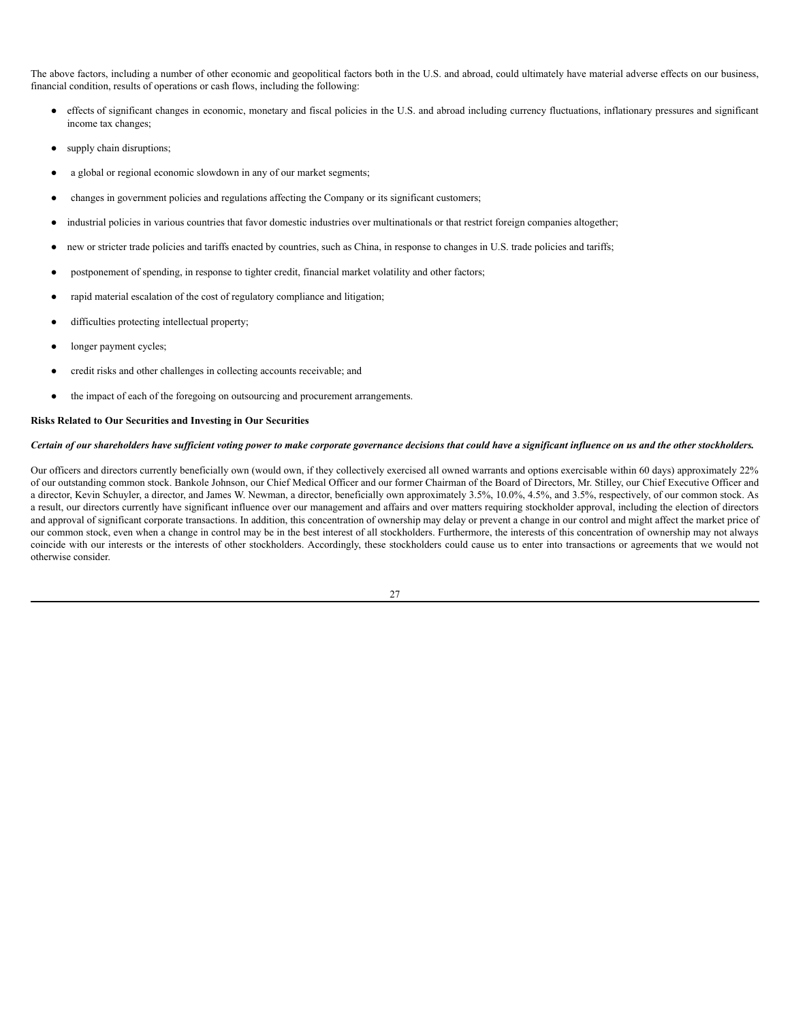The above factors, including a number of other economic and geopolitical factors both in the U.S. and abroad, could ultimately have material adverse effects on our business, financial condition, results of operations or cash flows, including the following:

- effects of significant changes in economic, monetary and fiscal policies in the U.S. and abroad including currency fluctuations, inflationary pressures and significant income tax changes;
- supply chain disruptions;
- a global or regional economic slowdown in any of our market segments;
- changes in government policies and regulations affecting the Company or its significant customers;
- industrial policies in various countries that favor domestic industries over multinationals or that restrict foreign companies altogether;
- new or stricter trade policies and tariffs enacted by countries, such as China, in response to changes in U.S. trade policies and tariffs;
- postponement of spending, in response to tighter credit, financial market volatility and other factors;
- rapid material escalation of the cost of regulatory compliance and litigation;
- difficulties protecting intellectual property;
- longer payment cycles;
- credit risks and other challenges in collecting accounts receivable; and
- the impact of each of the foregoing on outsourcing and procurement arrangements.

### **Risks Related to Our Securities and Investing in Our Securities**

## Certain of our shareholders have sufficient voting power to make corporate governance decisions that could have a significant influence on us and the other stockholders.

Our officers and directors currently beneficially own (would own, if they collectively exercised all owned warrants and options exercisable within 60 days) approximately 22% of our outstanding common stock. Bankole Johnson, our Chief Medical Officer and our former Chairman of the Board of Directors, Mr. Stilley, our Chief Executive Officer and a director, Kevin Schuyler, a director, and James W. Newman, a director, beneficially own approximately 3.5%, 10.0%, 4.5%, and 3.5%, respectively, of our common stock. As a result, our directors currently have significant influence over our management and affairs and over matters requiring stockholder approval, including the election of directors and approval of significant corporate transactions. In addition, this concentration of ownership may delay or prevent a change in our control and might affect the market price of our common stock, even when a change in control may be in the best interest of all stockholders. Furthermore, the interests of this concentration of ownership may not always coincide with our interests or the interests of other stockholders. Accordingly, these stockholders could cause us to enter into transactions or agreements that we would not otherwise consider.

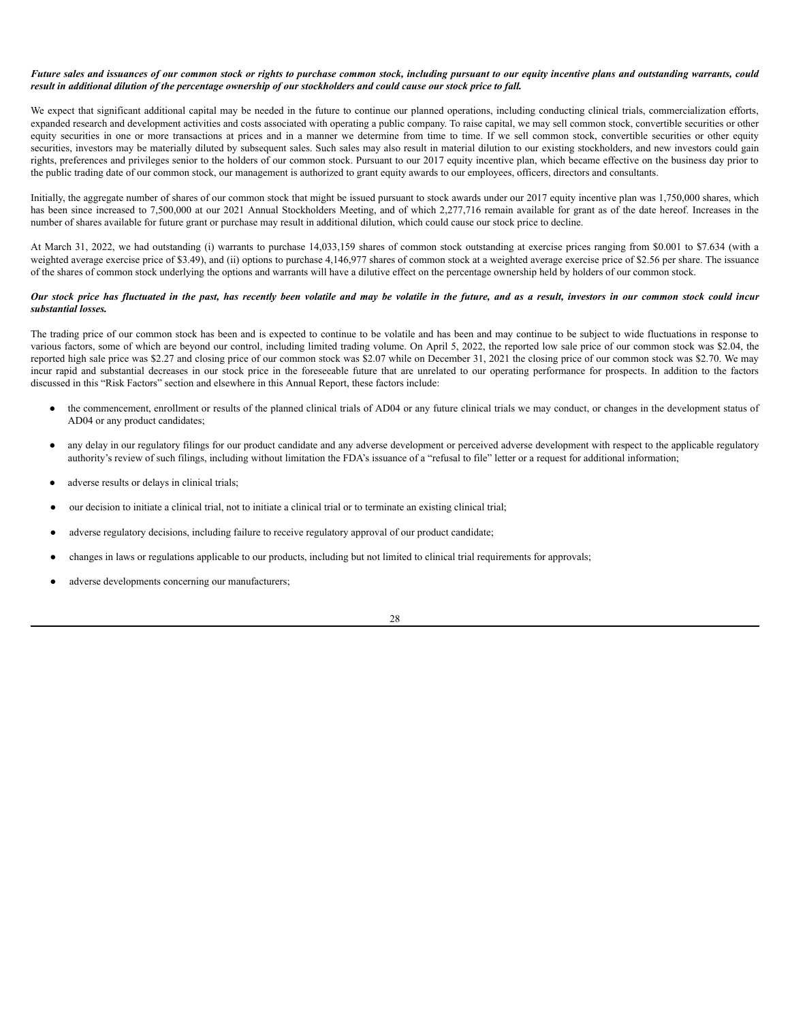## Future sales and issuances of our common stock or rights to purchase common stock, including pursuant to our equity incentive plans and outstanding warrants, could result in additional dilution of the percentage ownership of our stockholders and could cause our stock price to fall.

We expect that significant additional capital may be needed in the future to continue our planned operations, including conducting clinical trials, commercialization efforts, expanded research and development activities and costs associated with operating a public company. To raise capital, we may sell common stock, convertible securities or other equity securities in one or more transactions at prices and in a manner we determine from time to time. If we sell common stock, convertible securities or other equity securities, investors may be materially diluted by subsequent sales. Such sales may also result in material dilution to our existing stockholders, and new investors could gain rights, preferences and privileges senior to the holders of our common stock. Pursuant to our 2017 equity incentive plan, which became effective on the business day prior to the public trading date of our common stock, our management is authorized to grant equity awards to our employees, officers, directors and consultants.

Initially, the aggregate number of shares of our common stock that might be issued pursuant to stock awards under our 2017 equity incentive plan was 1,750,000 shares, which has been since increased to 7,500,000 at our 2021 Annual Stockholders Meeting, and of which 2,277,716 remain available for grant as of the date hereof. Increases in the number of shares available for future grant or purchase may result in additional dilution, which could cause our stock price to decline.

At March 31, 2022, we had outstanding (i) warrants to purchase 14,033,159 shares of common stock outstanding at exercise prices ranging from \$0.001 to \$7.634 (with a weighted average exercise price of \$3.49), and (ii) options to purchase 4,146,977 shares of common stock at a weighted average exercise price of \$2.56 per share. The issuance of the shares of common stock underlying the options and warrants will have a dilutive effect on the percentage ownership held by holders of our common stock.

## Our stock price has fluctuated in the past, has recently been volatile and may be volatile in the future, and as a result, investors in our common stock could incur *substantial losses.*

The trading price of our common stock has been and is expected to continue to be volatile and has been and may continue to be subject to wide fluctuations in response to various factors, some of which are beyond our control, including limited trading volume. On April 5, 2022, the reported low sale price of our common stock was \$2.04, the reported high sale price was \$2.27 and closing price of our common stock was \$2.07 while on December 31, 2021 the closing price of our common stock was \$2.70. We may incur rapid and substantial decreases in our stock price in the foreseeable future that are unrelated to our operating performance for prospects. In addition to the factors discussed in this "Risk Factors" section and elsewhere in this Annual Report, these factors include:

- the commencement, enrollment or results of the planned clinical trials of AD04 or any future clinical trials we may conduct, or changes in the development status of AD04 or any product candidates;
- any delay in our regulatory filings for our product candidate and any adverse development or perceived adverse development with respect to the applicable regulatory authority's review of such filings, including without limitation the FDA's issuance of a "refusal to file" letter or a request for additional information;
- adverse results or delays in clinical trials;
- our decision to initiate a clinical trial, not to initiate a clinical trial or to terminate an existing clinical trial;
- adverse regulatory decisions, including failure to receive regulatory approval of our product candidate;
- changes in laws or regulations applicable to our products, including but not limited to clinical trial requirements for approvals;
- adverse developments concerning our manufacturers;

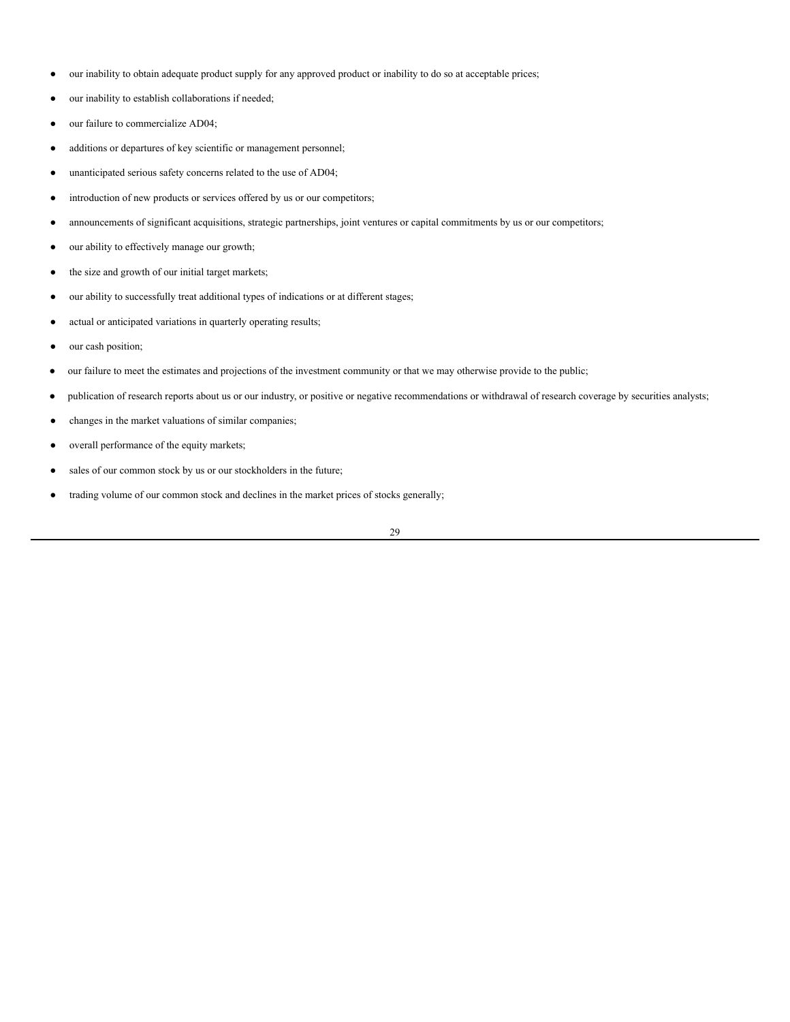- our inability to obtain adequate product supply for any approved product or inability to do so at acceptable prices;
- our inability to establish collaborations if needed;
- our failure to commercialize AD04;
- additions or departures of key scientific or management personnel;
- unanticipated serious safety concerns related to the use of AD04;
- introduction of new products or services offered by us or our competitors;
- announcements of significant acquisitions, strategic partnerships, joint ventures or capital commitments by us or our competitors;
- our ability to effectively manage our growth;
- the size and growth of our initial target markets;
- our ability to successfully treat additional types of indications or at different stages;
- actual or anticipated variations in quarterly operating results;
- our cash position;
- our failure to meet the estimates and projections of the investment community or that we may otherwise provide to the public;
- publication of research reports about us or our industry, or positive or negative recommendations or withdrawal of research coverage by securities analysts;
- changes in the market valuations of similar companies;
- overall performance of the equity markets;
- sales of our common stock by us or our stockholders in the future;
- trading volume of our common stock and declines in the market prices of stocks generally;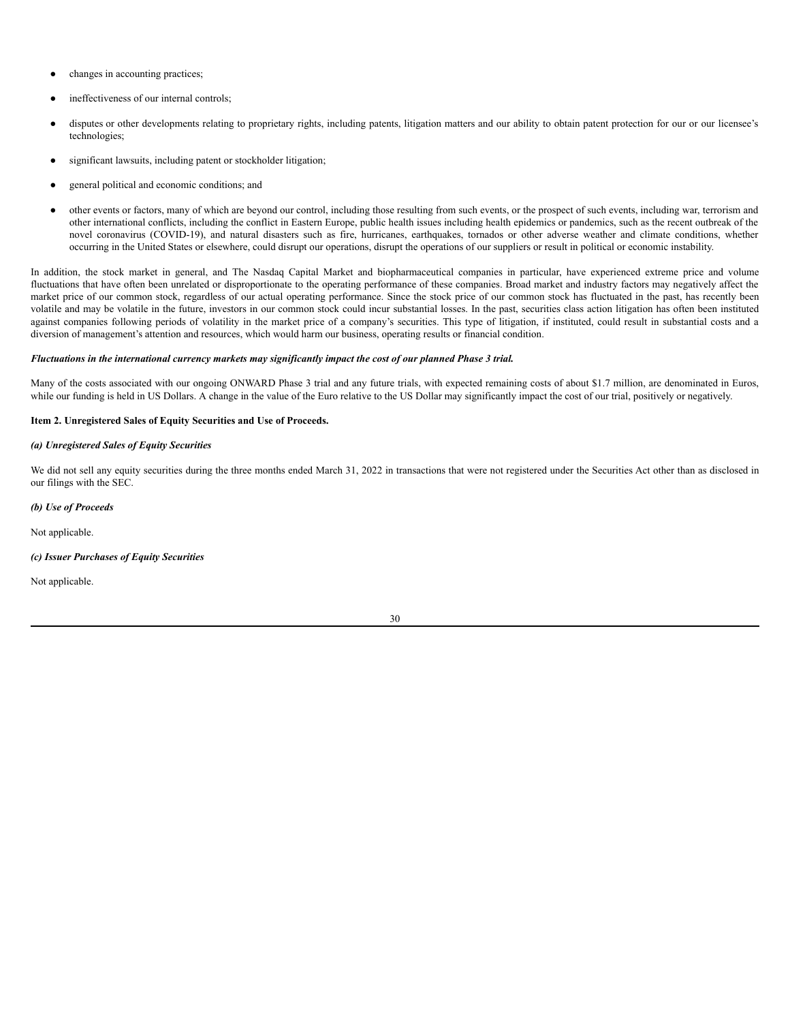- changes in accounting practices;
- ineffectiveness of our internal controls;
- disputes or other developments relating to proprietary rights, including patents, litigation matters and our ability to obtain patent protection for our or our licensee's technologies;
- significant lawsuits, including patent or stockholder litigation;
- general political and economic conditions; and
- other events or factors, many of which are beyond our control, including those resulting from such events, or the prospect of such events, including war, terrorism and other international conflicts, including the conflict in Eastern Europe, public health issues including health epidemics or pandemics, such as the recent outbreak of the novel coronavirus (COVID-19), and natural disasters such as fire, hurricanes, earthquakes, tornados or other adverse weather and climate conditions, whether occurring in the United States or elsewhere, could disrupt our operations, disrupt the operations of our suppliers or result in political or economic instability.

In addition, the stock market in general, and The Nasdaq Capital Market and biopharmaceutical companies in particular, have experienced extreme price and volume fluctuations that have often been unrelated or disproportionate to the operating performance of these companies. Broad market and industry factors may negatively affect the market price of our common stock, regardless of our actual operating performance. Since the stock price of our common stock has fluctuated in the past, has recently been volatile and may be volatile in the future, investors in our common stock could incur substantial losses. In the past, securities class action litigation has often been instituted against companies following periods of volatility in the market price of a company's securities. This type of litigation, if instituted, could result in substantial costs and a diversion of management's attention and resources, which would harm our business, operating results or financial condition.

### Fluctuations in the international currency markets may significantly impact the cost of our planned Phase 3 trial.

Many of the costs associated with our ongoing ONWARD Phase 3 trial and any future trials, with expected remaining costs of about \$1.7 million, are denominated in Euros, while our funding is held in US Dollars. A change in the value of the Euro relative to the US Dollar may significantly impact the cost of our trial, positively or negatively.

## <span id="page-32-0"></span>**Item 2. Unregistered Sales of Equity Securities and Use of Proceeds.**

## *(a) Unregistered Sales of Equity Securities*

We did not sell any equity securities during the three months ended March 31, 2022 in transactions that were not registered under the Securities Act other than as disclosed in our filings with the SEC.

## *(b) Use of Proceeds*

Not applicable.

### *(c) Issuer Purchases of Equity Securities*

Not applicable.

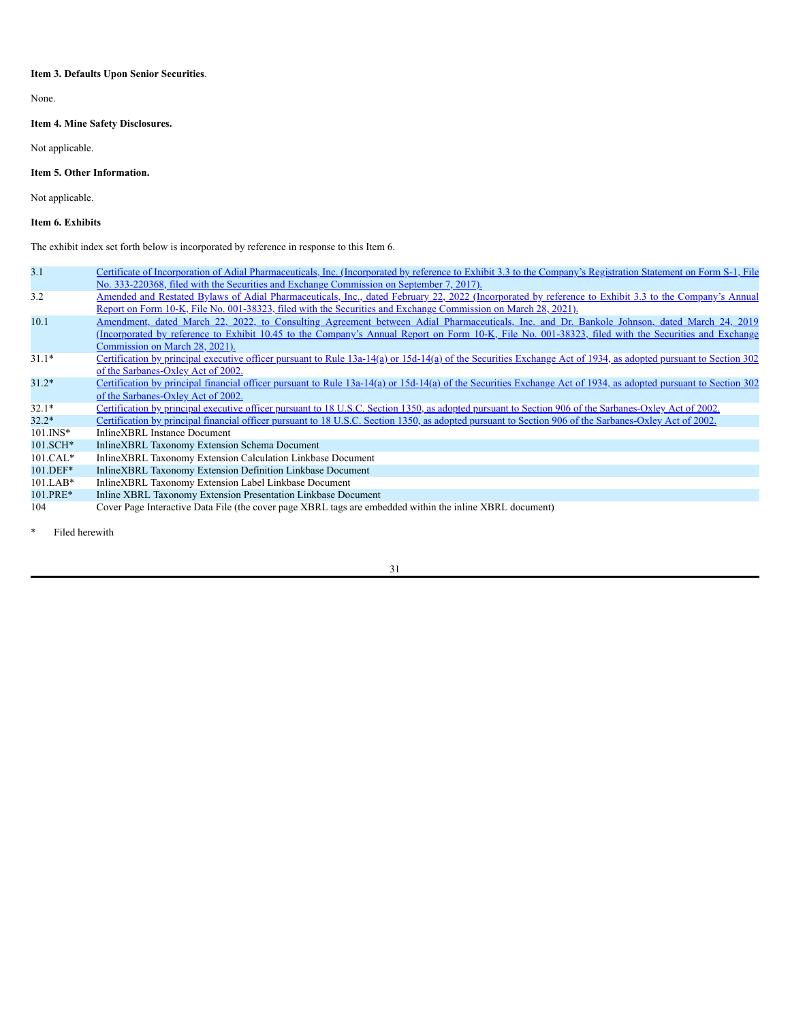# <span id="page-33-0"></span>**Item 3. Defaults Upon Senior Securities**.

None.

# <span id="page-33-1"></span>**Item 4. Mine Safety Disclosures.**

Not applicable.

# <span id="page-33-2"></span>**Item 5. Other Information.**

Not applicable.

## <span id="page-33-3"></span>**Item 6. Exhibits**

The exhibit index set forth below is incorporated by reference in response to this Item 6.

| 3.1          | Certificate of Incorporation of Adial Pharmaceuticals, Inc. (Incorporated by reference to Exhibit 3.3 to the Company's Registration Statement on Form S-1, File |
|--------------|-----------------------------------------------------------------------------------------------------------------------------------------------------------------|
|              | No. 333-220368, filed with the Securities and Exchange Commission on September 7, 2017).                                                                        |
| 3.2          | Amended and Restated Bylaws of Adial Pharmaceuticals, Inc., dated February 22, 2022 (Incorporated by reference to Exhibit 3.3 to the Company's Annual           |
|              | Report on Form 10-K, File No. 001-38323, filed with the Securities and Exchange Commission on March 28, 2021).                                                  |
| 10.1         | Amendment, dated March 22, 2022, to Consulting Agreement between Adial Pharmaceuticals, Inc. and Dr. Bankole Johnson, dated March 24, 2019                      |
|              | (Incorporated by reference to Exhibit 10.45 to the Company's Annual Report on Form 10-K, File No. 001-38323, filed with the Securities and Exchange             |
|              | Commission on March 28, 2021).                                                                                                                                  |
| $31.1*$      | Certification by principal executive officer pursuant to Rule 13a-14(a) or 15d-14(a) of the Securities Exchange Act of 1934, as adopted pursuant to Section 302 |
|              | of the Sarbanes-Oxley Act of 2002.                                                                                                                              |
| $31.2*$      | Certification by principal financial officer pursuant to Rule 13a-14(a) or 15d-14(a) of the Securities Exchange Act of 1934, as adopted pursuant to Section 302 |
|              | of the Sarbanes-Oxley Act of 2002.                                                                                                                              |
| $32.1*$      | Certification by principal executive officer pursuant to 18 U.S.C. Section 1350, as adopted pursuant to Section 906 of the Sarbanes-Oxley Act of 2002.          |
| $32.2*$      | Certification by principal financial officer pursuant to 18 U.S.C. Section 1350, as adopted pursuant to Section 906 of the Sarbanes-Oxley Act of 2002.          |
| $101$ . INS* | InlineXBRL Instance Document                                                                                                                                    |
| 101.SCH*     | InlineXBRL Taxonomy Extension Schema Document                                                                                                                   |
| $101.CAL*$   | InlineXBRL Taxonomy Extension Calculation Linkbase Document                                                                                                     |
| 101.DEF*     | InlineXBRL Taxonomy Extension Definition Linkbase Document                                                                                                      |
| $101.LAB*$   | InlineXBRL Taxonomy Extension Label Linkbase Document                                                                                                           |
| 101.PRE*     | Inline XBRL Taxonomy Extension Presentation Linkbase Document                                                                                                   |
| 104          | Cover Page Interactive Data File (the cover page XBRL tags are embedded within the inline XBRL document)                                                        |

\* Filed herewith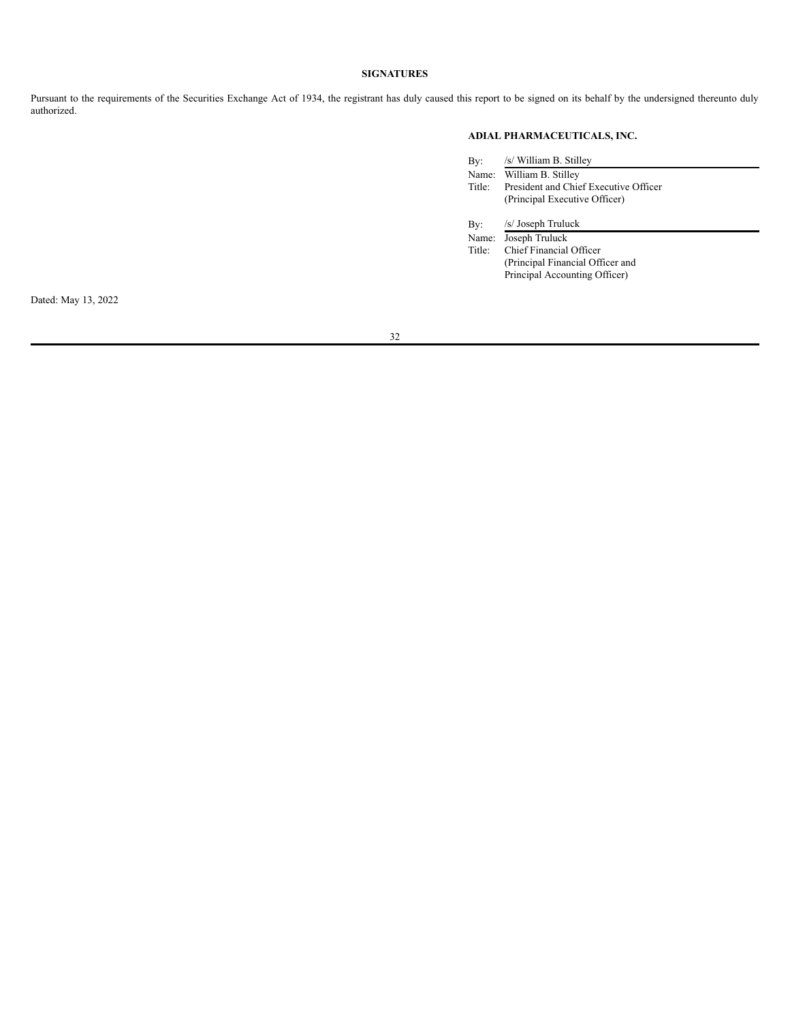## **SIGNATURES**

<span id="page-34-0"></span>Pursuant to the requirements of the Securities Exchange Act of 1934, the registrant has duly caused this report to be signed on its behalf by the undersigned thereunto duly authorized.

# **ADIAL PHARMACEUTICALS, INC.**

| By:    | /s/ William B. Stilley                |
|--------|---------------------------------------|
| Name:  | William B. Stilley                    |
| Title: | President and Chief Executive Officer |
|        | (Principal Executive Officer)         |

By: /s/ Joseph Truluck

Name: Joseph Truluck Title: Chief Financial Officer (Principal Financial Officer and Principal Accounting Officer)

Dated: May 13, 2022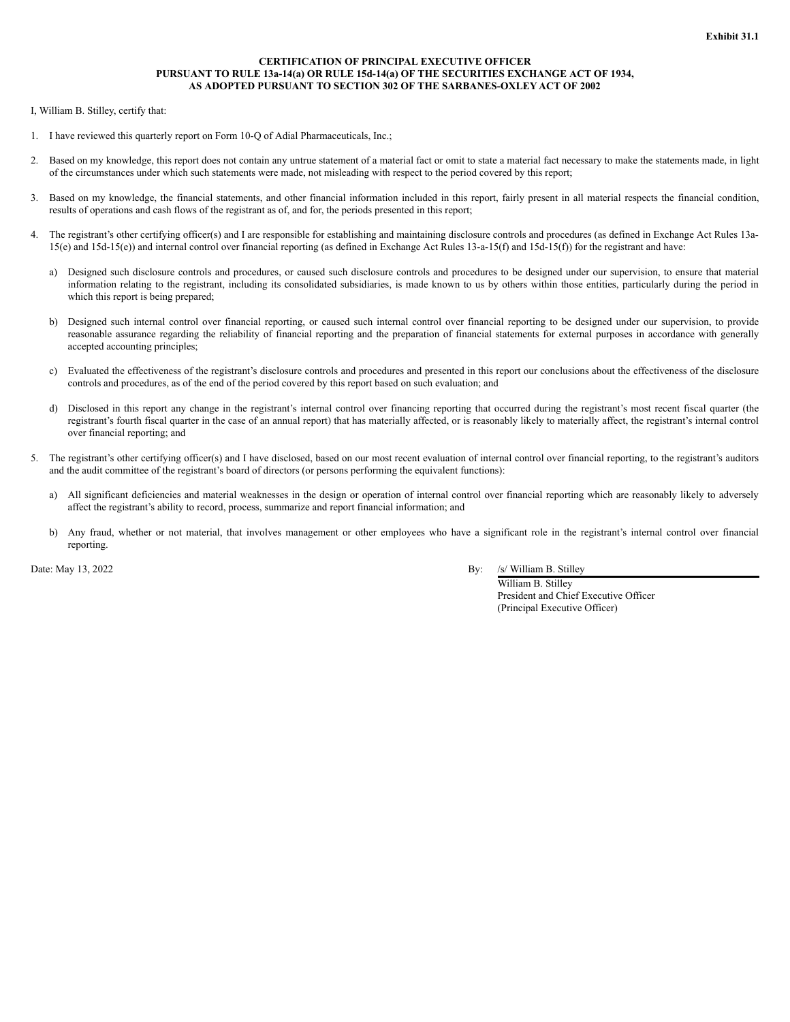## **CERTIFICATION OF PRINCIPAL EXECUTIVE OFFICER PURSUANT TO RULE 13a-14(a) OR RULE 15d-14(a) OF THE SECURITIES EXCHANGE ACT OF 1934, AS ADOPTED PURSUANT TO SECTION 302 OF THE SARBANES-OXLEY ACT OF 2002**

I, William B. Stilley, certify that:

- 1. I have reviewed this quarterly report on Form 10-Q of Adial Pharmaceuticals, Inc.;
- Based on my knowledge, this report does not contain any untrue statement of a material fact or omit to state a material fact necessary to make the statements made, in light of the circumstances under which such statements were made, not misleading with respect to the period covered by this report;
- 3. Based on my knowledge, the financial statements, and other financial information included in this report, fairly present in all material respects the financial condition, results of operations and cash flows of the registrant as of, and for, the periods presented in this report;
- 4. The registrant's other certifying officer(s) and I are responsible for establishing and maintaining disclosure controls and procedures (as defined in Exchange Act Rules 13a-15(e) and 15d-15(e)) and internal control over financial reporting (as defined in Exchange Act Rules 13-a-15(f) and 15d-15(f)) for the registrant and have:
	- a) Designed such disclosure controls and procedures, or caused such disclosure controls and procedures to be designed under our supervision, to ensure that material information relating to the registrant, including its consolidated subsidiaries, is made known to us by others within those entities, particularly during the period in which this report is being prepared;
	- b) Designed such internal control over financial reporting, or caused such internal control over financial reporting to be designed under our supervision, to provide reasonable assurance regarding the reliability of financial reporting and the preparation of financial statements for external purposes in accordance with generally accepted accounting principles;
	- c) Evaluated the effectiveness of the registrant's disclosure controls and procedures and presented in this report our conclusions about the effectiveness of the disclosure controls and procedures, as of the end of the period covered by this report based on such evaluation; and
	- d) Disclosed in this report any change in the registrant's internal control over financing reporting that occurred during the registrant's most recent fiscal quarter (the registrant's fourth fiscal quarter in the case of an annual report) that has materially affected, or is reasonably likely to materially affect, the registrant's internal control over financial reporting; and
- 5. The registrant's other certifying officer(s) and I have disclosed, based on our most recent evaluation of internal control over financial reporting, to the registrant's auditors and the audit committee of the registrant's board of directors (or persons performing the equivalent functions):
	- a) All significant deficiencies and material weaknesses in the design or operation of internal control over financial reporting which are reasonably likely to adversely affect the registrant's ability to record, process, summarize and report financial information; and
	- b) Any fraud, whether or not material, that involves management or other employees who have a significant role in the registrant's internal control over financial reporting.

Date: May 13, 2022 By: /s/ William B. Stilley

William B. Stilley President and Chief Executive Officer (Principal Executive Officer)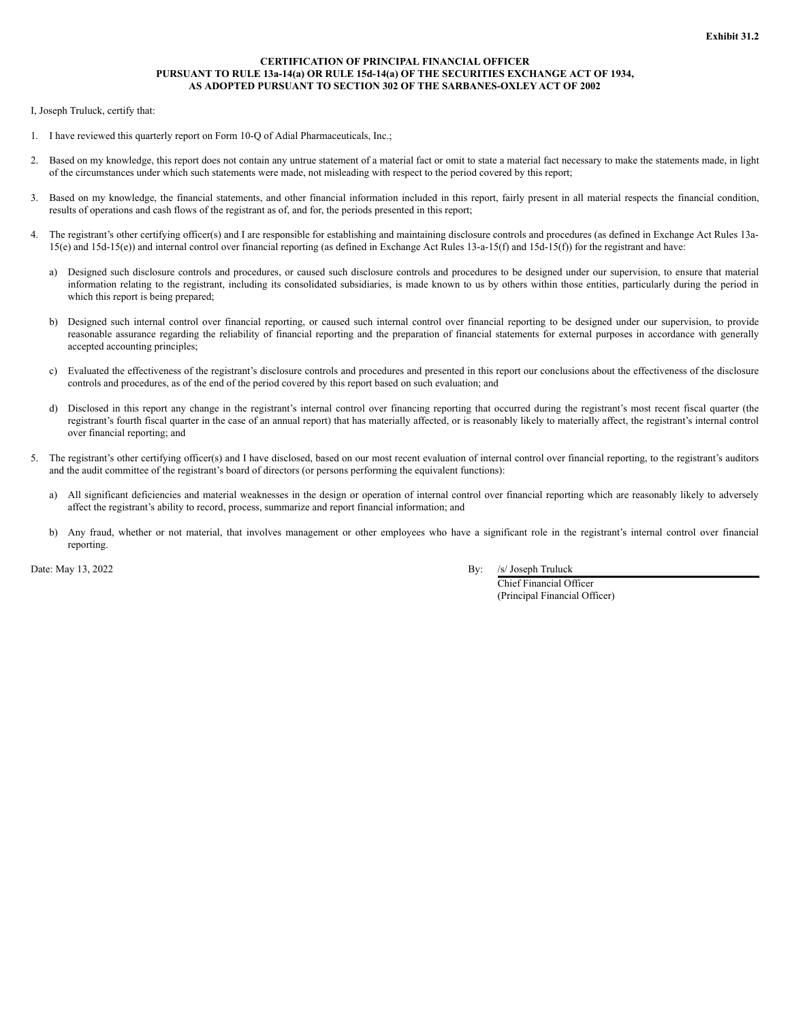## **CERTIFICATION OF PRINCIPAL FINANCIAL OFFICER PURSUANT TO RULE 13a-14(a) OR RULE 15d-14(a) OF THE SECURITIES EXCHANGE ACT OF 1934, AS ADOPTED PURSUANT TO SECTION 302 OF THE SARBANES-OXLEY ACT OF 2002**

I, Joseph Truluck, certify that:

- 1. I have reviewed this quarterly report on Form 10-Q of Adial Pharmaceuticals, Inc.;
- Based on my knowledge, this report does not contain any untrue statement of a material fact or omit to state a material fact necessary to make the statements made, in light of the circumstances under which such statements were made, not misleading with respect to the period covered by this report;
- 3. Based on my knowledge, the financial statements, and other financial information included in this report, fairly present in all material respects the financial condition, results of operations and cash flows of the registrant as of, and for, the periods presented in this report;
- 4. The registrant's other certifying officer(s) and I are responsible for establishing and maintaining disclosure controls and procedures (as defined in Exchange Act Rules 13a-15(e) and 15d-15(e)) and internal control over financial reporting (as defined in Exchange Act Rules 13-a-15(f) and 15d-15(f)) for the registrant and have:
	- a) Designed such disclosure controls and procedures, or caused such disclosure controls and procedures to be designed under our supervision, to ensure that material information relating to the registrant, including its consolidated subsidiaries, is made known to us by others within those entities, particularly during the period in which this report is being prepared;
	- b) Designed such internal control over financial reporting, or caused such internal control over financial reporting to be designed under our supervision, to provide reasonable assurance regarding the reliability of financial reporting and the preparation of financial statements for external purposes in accordance with generally accepted accounting principles;
	- c) Evaluated the effectiveness of the registrant's disclosure controls and procedures and presented in this report our conclusions about the effectiveness of the disclosure controls and procedures, as of the end of the period covered by this report based on such evaluation; and
	- d) Disclosed in this report any change in the registrant's internal control over financing reporting that occurred during the registrant's most recent fiscal quarter (the registrant's fourth fiscal quarter in the case of an annual report) that has materially affected, or is reasonably likely to materially affect, the registrant's internal control over financial reporting; and
- 5. The registrant's other certifying officer(s) and I have disclosed, based on our most recent evaluation of internal control over financial reporting, to the registrant's auditors and the audit committee of the registrant's board of directors (or persons performing the equivalent functions):
	- a) All significant deficiencies and material weaknesses in the design or operation of internal control over financial reporting which are reasonably likely to adversely affect the registrant's ability to record, process, summarize and report financial information; and
	- b) Any fraud, whether or not material, that involves management or other employees who have a significant role in the registrant's internal control over financial reporting.

Date: May 13, 2022 By: /s/ Joseph Truluck

Chief Financial Officer (Principal Financial Officer)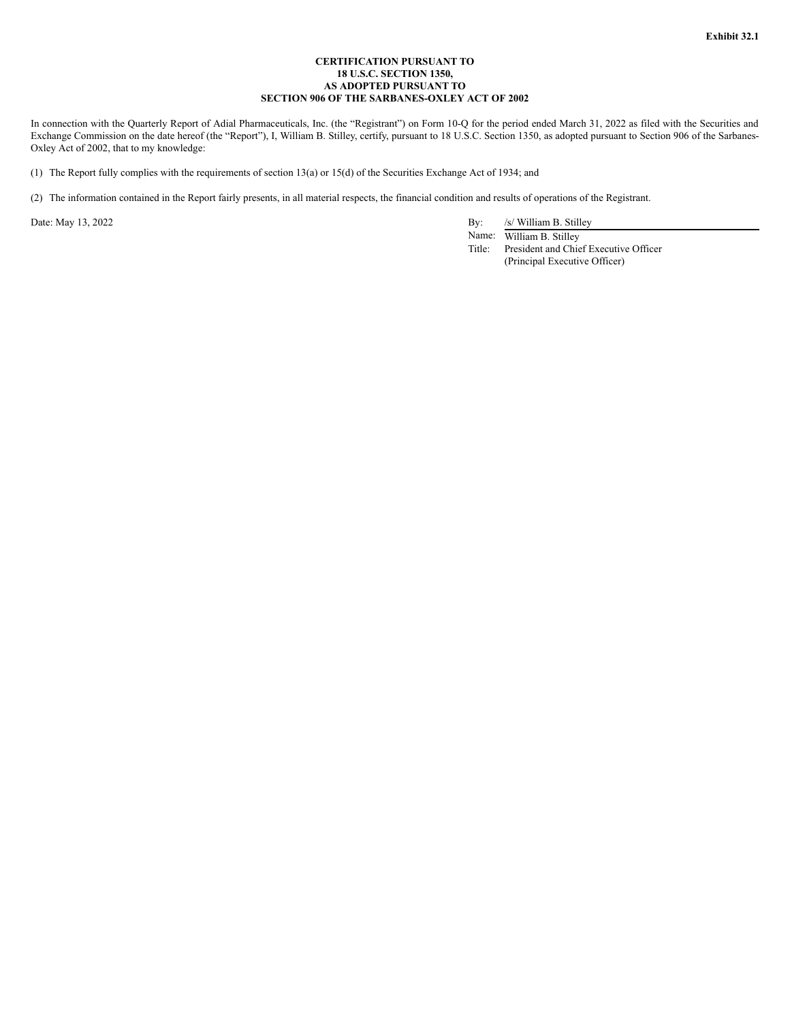### **CERTIFICATION PURSUANT TO 18 U.S.C. SECTION 1350, AS ADOPTED PURSUANT TO SECTION 906 OF THE SARBANES-OXLEY ACT OF 2002**

In connection with the Quarterly Report of Adial Pharmaceuticals, Inc. (the "Registrant") on Form 10-Q for the period ended March 31, 2022 as filed with the Securities and Exchange Commission on the date hereof (the "Report"), I, William B. Stilley, certify, pursuant to 18 U.S.C. Section 1350, as adopted pursuant to Section 906 of the Sarbanes-Oxley Act of 2002, that to my knowledge:

(1) The Report fully complies with the requirements of section 13(a) or 15(d) of the Securities Exchange Act of 1934; and

(2) The information contained in the Report fairly presents, in all material respects, the financial condition and results of operations of the Registrant.

Date: May 13, 2022 By: /s/ William B. Stilley

Name: William B. Stilley Title: President and Chief Executive Officer (Principal Executive Officer)